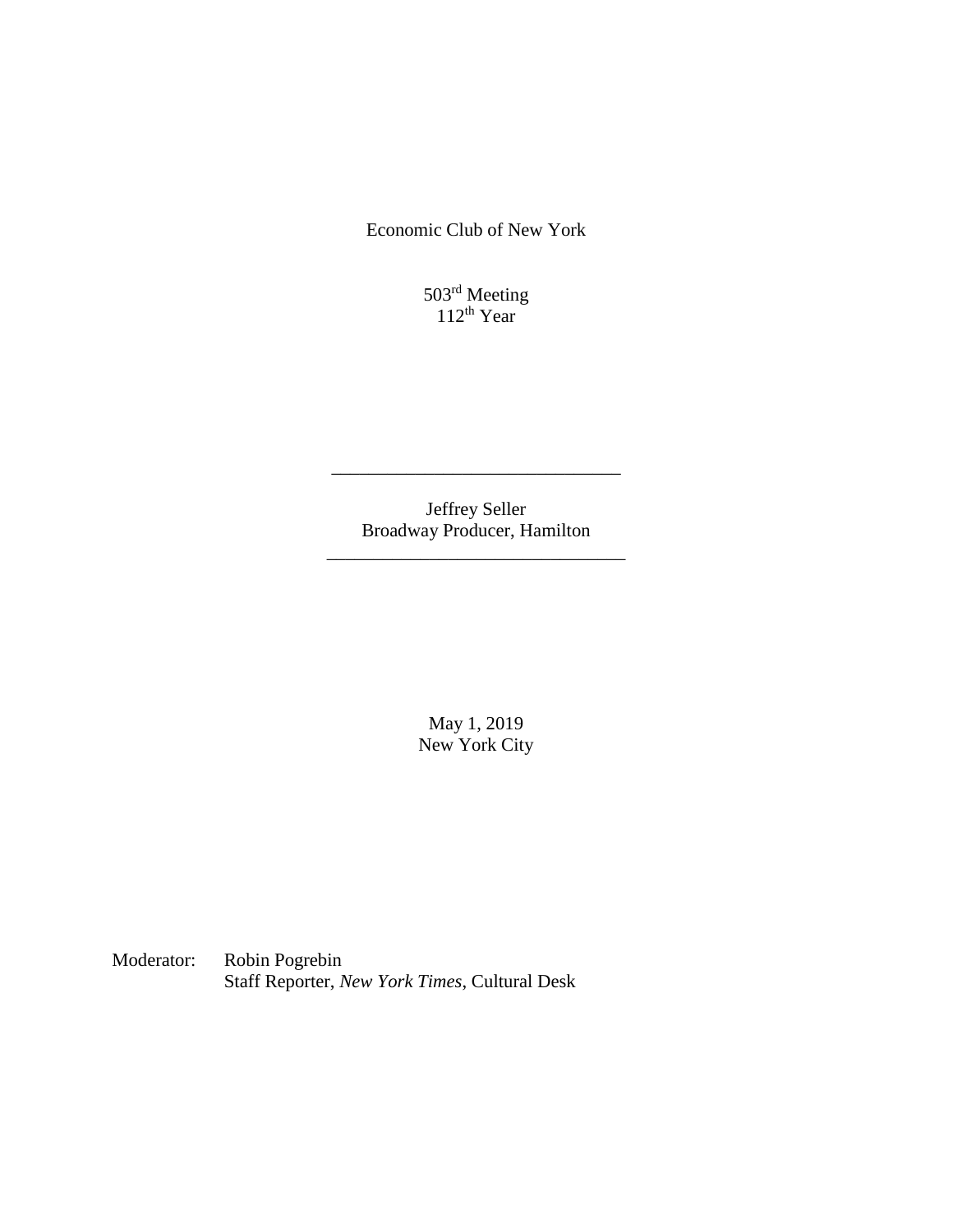Economic Club of New York

503<sup>rd</sup> Meeting 112th Year

Jeffrey Seller Broadway Producer, Hamilton

\_\_\_\_\_\_\_\_\_\_\_\_\_\_\_\_\_\_\_\_\_\_\_\_\_\_\_\_\_\_\_\_

\_\_\_\_\_\_\_\_\_\_\_\_\_\_\_\_\_\_\_\_\_\_\_\_\_\_\_\_\_\_\_

May 1, 2019 New York City

Moderator: Robin Pogrebin Staff Reporter, *New York Times*, Cultural Desk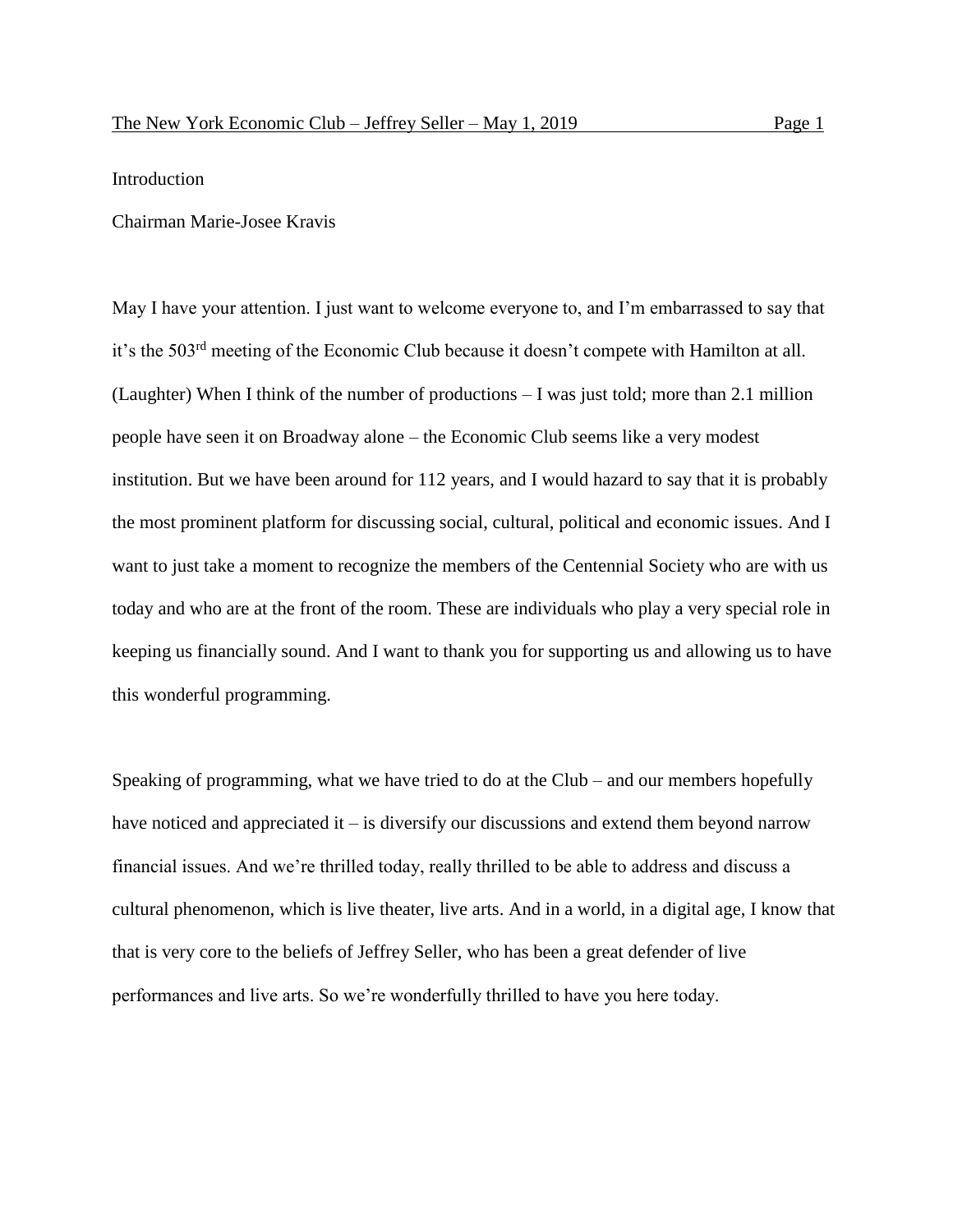# Introduction

# Chairman Marie-Josee Kravis

May I have your attention. I just want to welcome everyone to, and I'm embarrassed to say that it's the 503rd meeting of the Economic Club because it doesn't compete with Hamilton at all. (Laughter) When I think of the number of productions – I was just told; more than 2.1 million people have seen it on Broadway alone – the Economic Club seems like a very modest institution. But we have been around for 112 years, and I would hazard to say that it is probably the most prominent platform for discussing social, cultural, political and economic issues. And I want to just take a moment to recognize the members of the Centennial Society who are with us today and who are at the front of the room. These are individuals who play a very special role in keeping us financially sound. And I want to thank you for supporting us and allowing us to have this wonderful programming.

Speaking of programming, what we have tried to do at the Club – and our members hopefully have noticed and appreciated it – is diversify our discussions and extend them beyond narrow financial issues. And we're thrilled today, really thrilled to be able to address and discuss a cultural phenomenon, which is live theater, live arts. And in a world, in a digital age, I know that that is very core to the beliefs of Jeffrey Seller, who has been a great defender of live performances and live arts. So we're wonderfully thrilled to have you here today.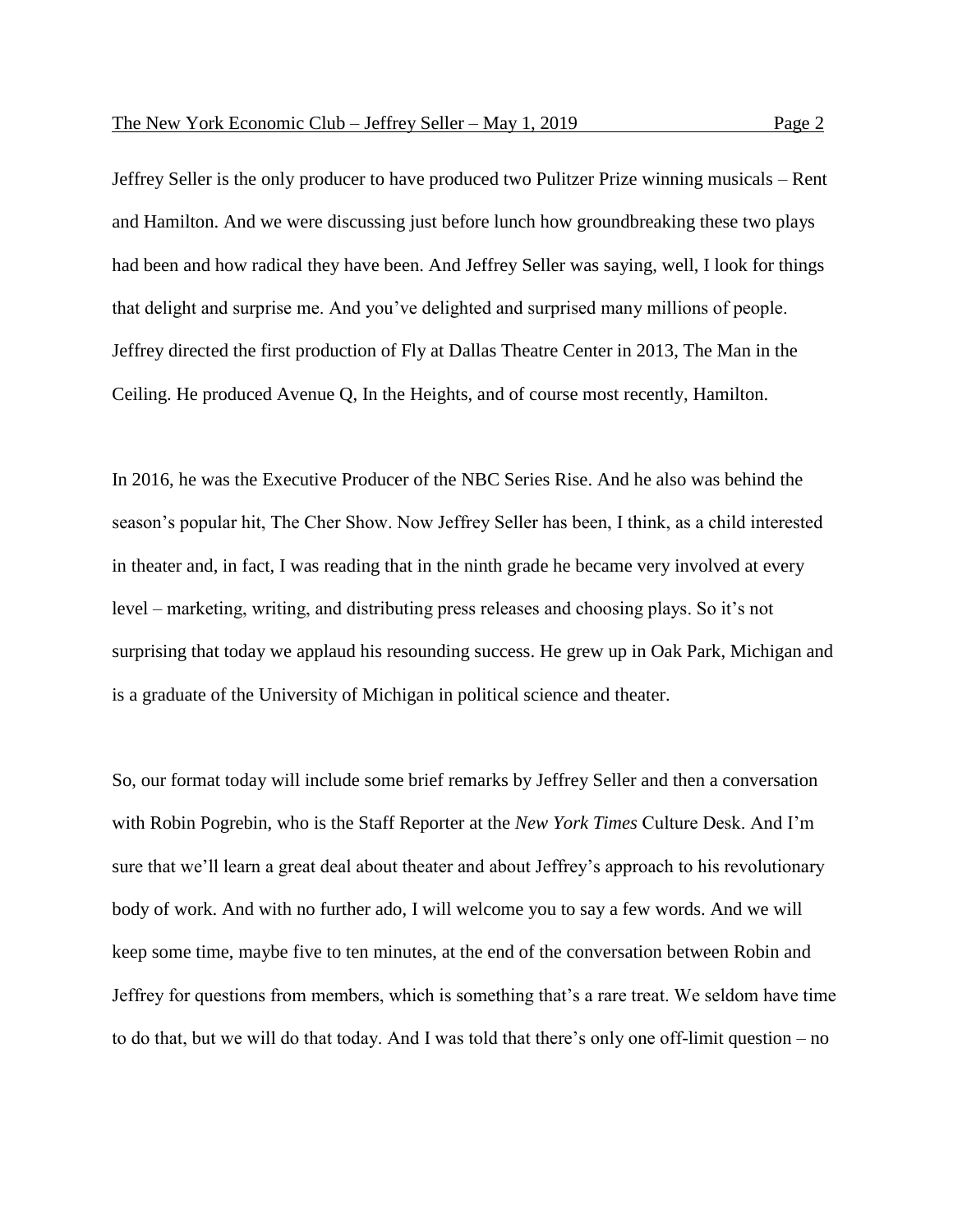Jeffrey Seller is the only producer to have produced two Pulitzer Prize winning musicals – Rent and Hamilton. And we were discussing just before lunch how groundbreaking these two plays had been and how radical they have been. And Jeffrey Seller was saying, well, I look for things that delight and surprise me. And you've delighted and surprised many millions of people. Jeffrey directed the first production of Fly at Dallas Theatre Center in 2013, The Man in the Ceiling. He produced Avenue Q, In the Heights, and of course most recently, Hamilton.

In 2016, he was the Executive Producer of the NBC Series Rise. And he also was behind the season's popular hit, The Cher Show. Now Jeffrey Seller has been, I think, as a child interested in theater and, in fact, I was reading that in the ninth grade he became very involved at every level – marketing, writing, and distributing press releases and choosing plays. So it's not surprising that today we applaud his resounding success. He grew up in Oak Park, Michigan and is a graduate of the University of Michigan in political science and theater.

So, our format today will include some brief remarks by Jeffrey Seller and then a conversation with Robin Pogrebin, who is the Staff Reporter at the *New York Times* Culture Desk. And I'm sure that we'll learn a great deal about theater and about Jeffrey's approach to his revolutionary body of work. And with no further ado, I will welcome you to say a few words. And we will keep some time, maybe five to ten minutes, at the end of the conversation between Robin and Jeffrey for questions from members, which is something that's a rare treat. We seldom have time to do that, but we will do that today. And I was told that there's only one off-limit question – no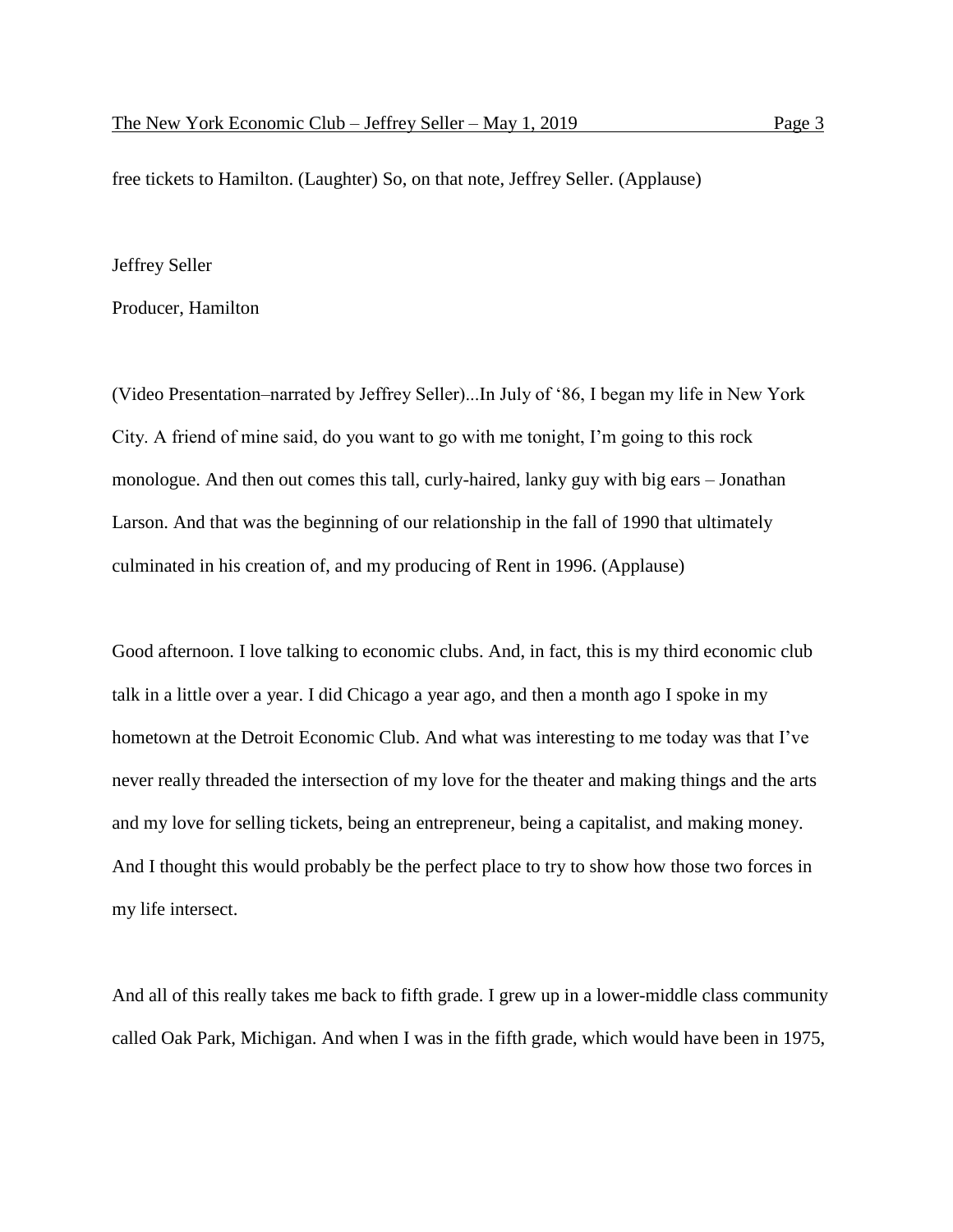free tickets to Hamilton. (Laughter) So, on that note, Jeffrey Seller. (Applause)

# Jeffrey Seller

Producer, Hamilton

(Video Presentation–narrated by Jeffrey Seller)...In July of '86, I began my life in New York City. A friend of mine said, do you want to go with me tonight, I'm going to this rock monologue. And then out comes this tall, curly-haired, lanky guy with big ears – Jonathan Larson. And that was the beginning of our relationship in the fall of 1990 that ultimately culminated in his creation of, and my producing of Rent in 1996. (Applause)

Good afternoon. I love talking to economic clubs. And, in fact, this is my third economic club talk in a little over a year. I did Chicago a year ago, and then a month ago I spoke in my hometown at the Detroit Economic Club. And what was interesting to me today was that I've never really threaded the intersection of my love for the theater and making things and the arts and my love for selling tickets, being an entrepreneur, being a capitalist, and making money. And I thought this would probably be the perfect place to try to show how those two forces in my life intersect.

And all of this really takes me back to fifth grade. I grew up in a lower-middle class community called Oak Park, Michigan. And when I was in the fifth grade, which would have been in 1975,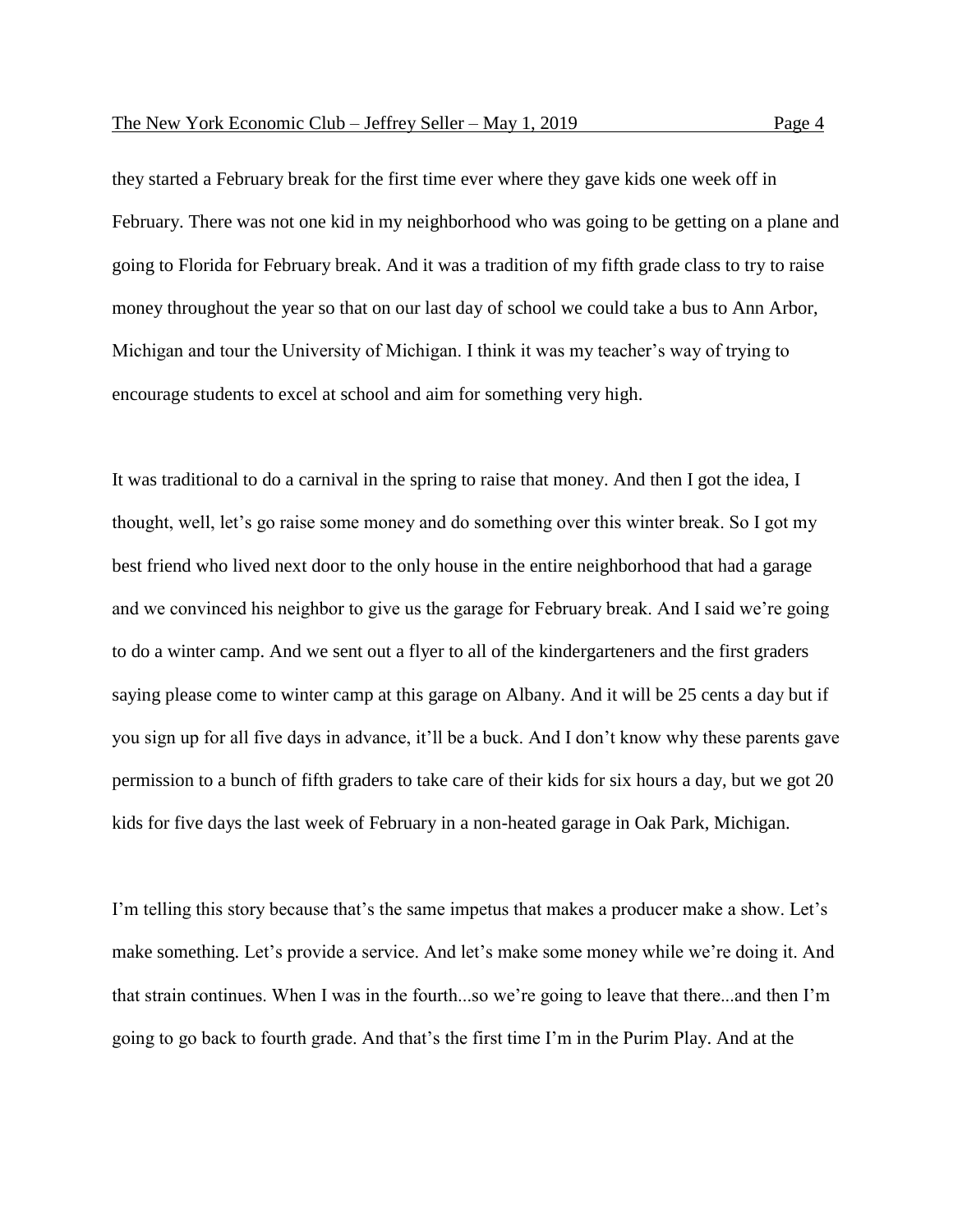they started a February break for the first time ever where they gave kids one week off in February. There was not one kid in my neighborhood who was going to be getting on a plane and going to Florida for February break. And it was a tradition of my fifth grade class to try to raise money throughout the year so that on our last day of school we could take a bus to Ann Arbor, Michigan and tour the University of Michigan. I think it was my teacher's way of trying to encourage students to excel at school and aim for something very high.

It was traditional to do a carnival in the spring to raise that money. And then I got the idea, I thought, well, let's go raise some money and do something over this winter break. So I got my best friend who lived next door to the only house in the entire neighborhood that had a garage and we convinced his neighbor to give us the garage for February break. And I said we're going to do a winter camp. And we sent out a flyer to all of the kindergarteners and the first graders saying please come to winter camp at this garage on Albany. And it will be 25 cents a day but if you sign up for all five days in advance, it'll be a buck. And I don't know why these parents gave permission to a bunch of fifth graders to take care of their kids for six hours a day, but we got 20 kids for five days the last week of February in a non-heated garage in Oak Park, Michigan.

I'm telling this story because that's the same impetus that makes a producer make a show. Let's make something. Let's provide a service. And let's make some money while we're doing it. And that strain continues. When I was in the fourth...so we're going to leave that there...and then I'm going to go back to fourth grade. And that's the first time I'm in the Purim Play. And at the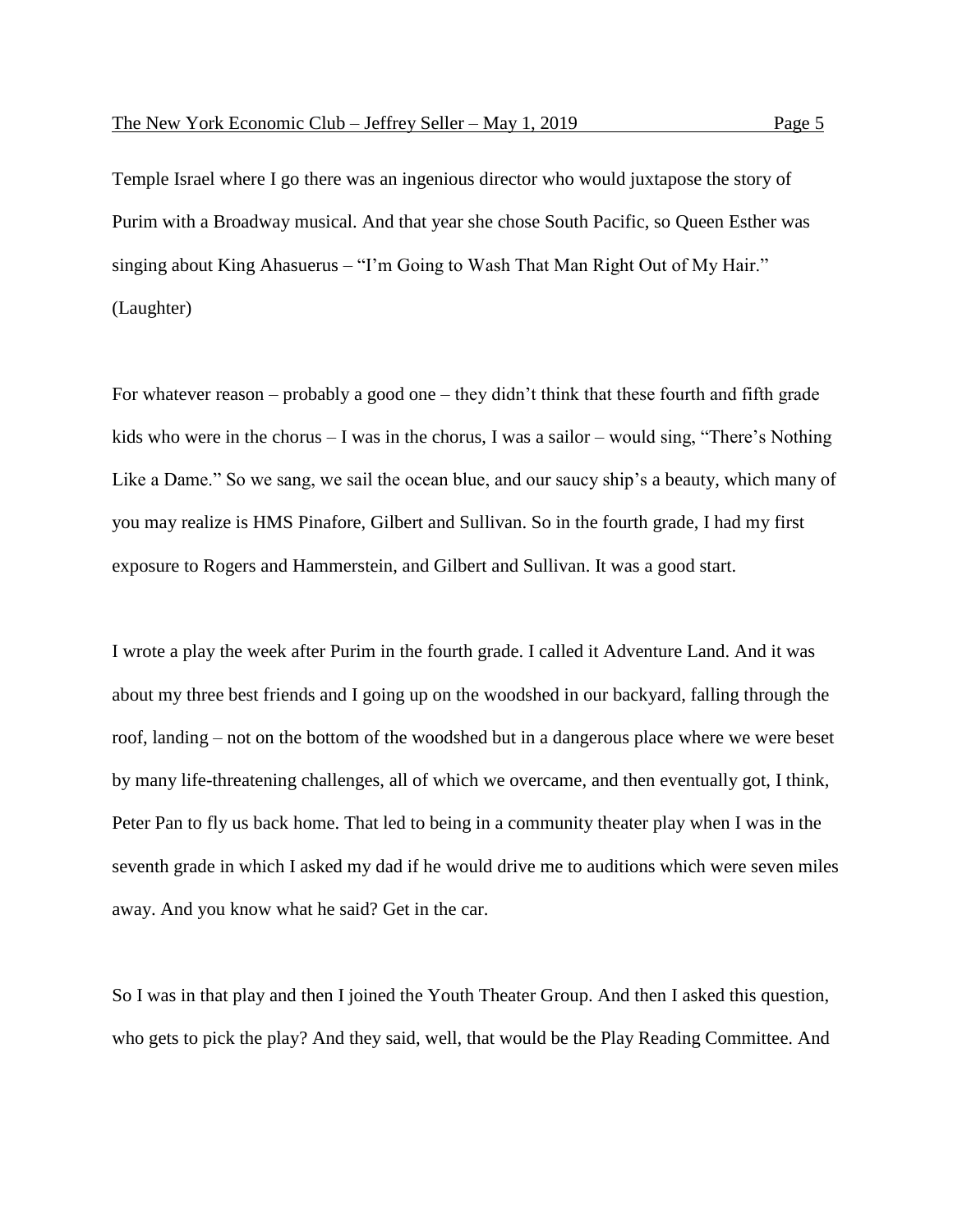Temple Israel where I go there was an ingenious director who would juxtapose the story of Purim with a Broadway musical. And that year she chose South Pacific, so Queen Esther was singing about King Ahasuerus – "I'm Going to Wash That Man Right Out of My Hair." (Laughter)

For whatever reason – probably a good one – they didn't think that these fourth and fifth grade kids who were in the chorus – I was in the chorus, I was a sailor – would sing, "There's Nothing Like a Dame." So we sang, we sail the ocean blue, and our saucy ship's a beauty, which many of you may realize is HMS Pinafore, Gilbert and Sullivan. So in the fourth grade, I had my first exposure to Rogers and Hammerstein, and Gilbert and Sullivan. It was a good start.

I wrote a play the week after Purim in the fourth grade. I called it Adventure Land. And it was about my three best friends and I going up on the woodshed in our backyard, falling through the roof, landing – not on the bottom of the woodshed but in a dangerous place where we were beset by many life-threatening challenges, all of which we overcame, and then eventually got, I think, Peter Pan to fly us back home. That led to being in a community theater play when I was in the seventh grade in which I asked my dad if he would drive me to auditions which were seven miles away. And you know what he said? Get in the car.

So I was in that play and then I joined the Youth Theater Group. And then I asked this question, who gets to pick the play? And they said, well, that would be the Play Reading Committee. And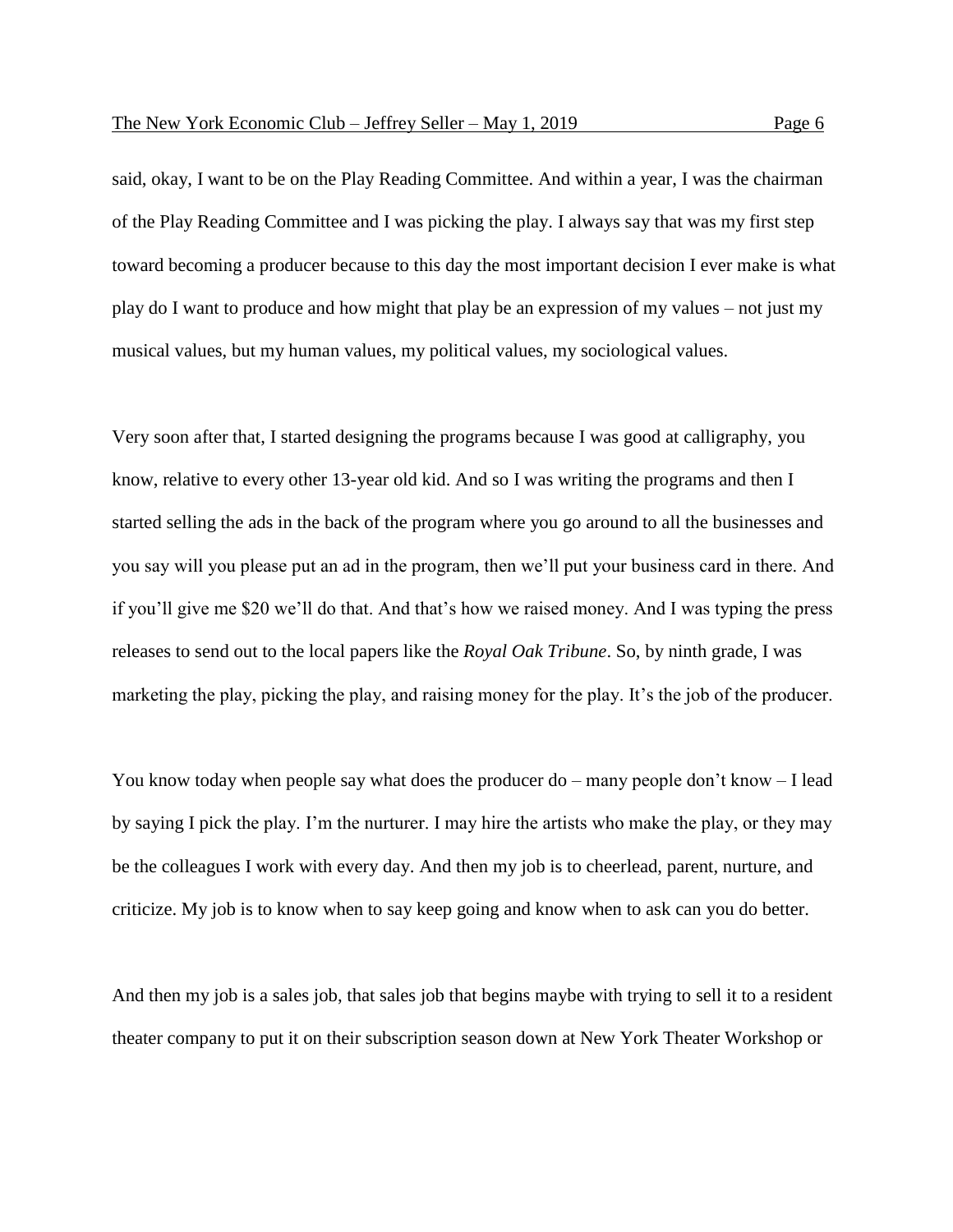said, okay, I want to be on the Play Reading Committee. And within a year, I was the chairman of the Play Reading Committee and I was picking the play. I always say that was my first step toward becoming a producer because to this day the most important decision I ever make is what play do I want to produce and how might that play be an expression of my values – not just my musical values, but my human values, my political values, my sociological values.

Very soon after that, I started designing the programs because I was good at calligraphy, you know, relative to every other 13-year old kid. And so I was writing the programs and then I started selling the ads in the back of the program where you go around to all the businesses and you say will you please put an ad in the program, then we'll put your business card in there. And if you'll give me \$20 we'll do that. And that's how we raised money. And I was typing the press releases to send out to the local papers like the *Royal Oak Tribune*. So, by ninth grade, I was marketing the play, picking the play, and raising money for the play. It's the job of the producer.

You know today when people say what does the producer do – many people don't know – I lead by saying I pick the play. I'm the nurturer. I may hire the artists who make the play, or they may be the colleagues I work with every day. And then my job is to cheerlead, parent, nurture, and criticize. My job is to know when to say keep going and know when to ask can you do better.

And then my job is a sales job, that sales job that begins maybe with trying to sell it to a resident theater company to put it on their subscription season down at New York Theater Workshop or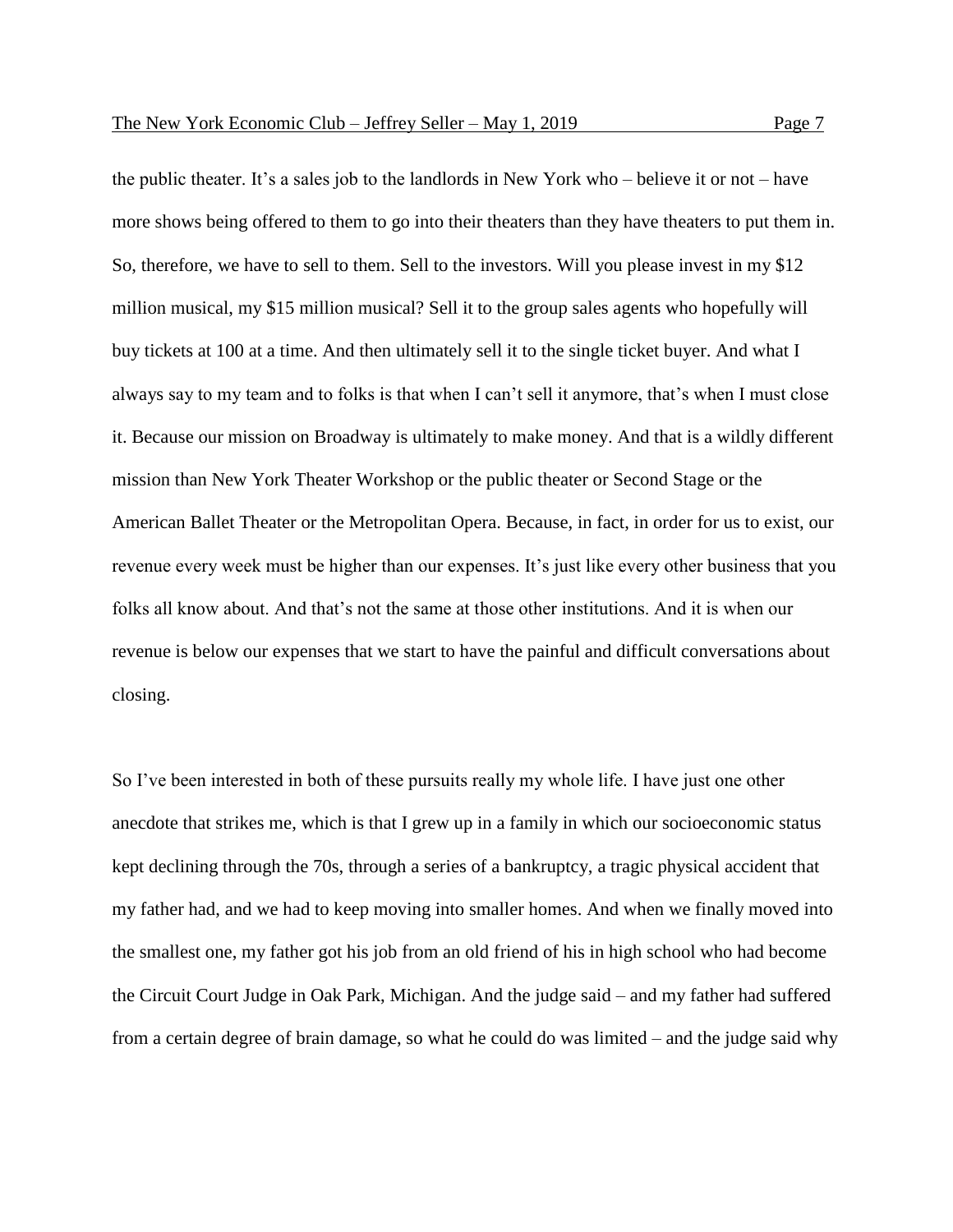the public theater. It's a sales job to the landlords in New York who – believe it or not – have more shows being offered to them to go into their theaters than they have theaters to put them in. So, therefore, we have to sell to them. Sell to the investors. Will you please invest in my \$12 million musical, my \$15 million musical? Sell it to the group sales agents who hopefully will buy tickets at 100 at a time. And then ultimately sell it to the single ticket buyer. And what I always say to my team and to folks is that when I can't sell it anymore, that's when I must close it. Because our mission on Broadway is ultimately to make money. And that is a wildly different mission than New York Theater Workshop or the public theater or Second Stage or the American Ballet Theater or the Metropolitan Opera. Because, in fact, in order for us to exist, our revenue every week must be higher than our expenses. It's just like every other business that you folks all know about. And that's not the same at those other institutions. And it is when our revenue is below our expenses that we start to have the painful and difficult conversations about

closing.

So I've been interested in both of these pursuits really my whole life. I have just one other anecdote that strikes me, which is that I grew up in a family in which our socioeconomic status kept declining through the 70s, through a series of a bankruptcy, a tragic physical accident that my father had, and we had to keep moving into smaller homes. And when we finally moved into the smallest one, my father got his job from an old friend of his in high school who had become the Circuit Court Judge in Oak Park, Michigan. And the judge said – and my father had suffered from a certain degree of brain damage, so what he could do was limited – and the judge said why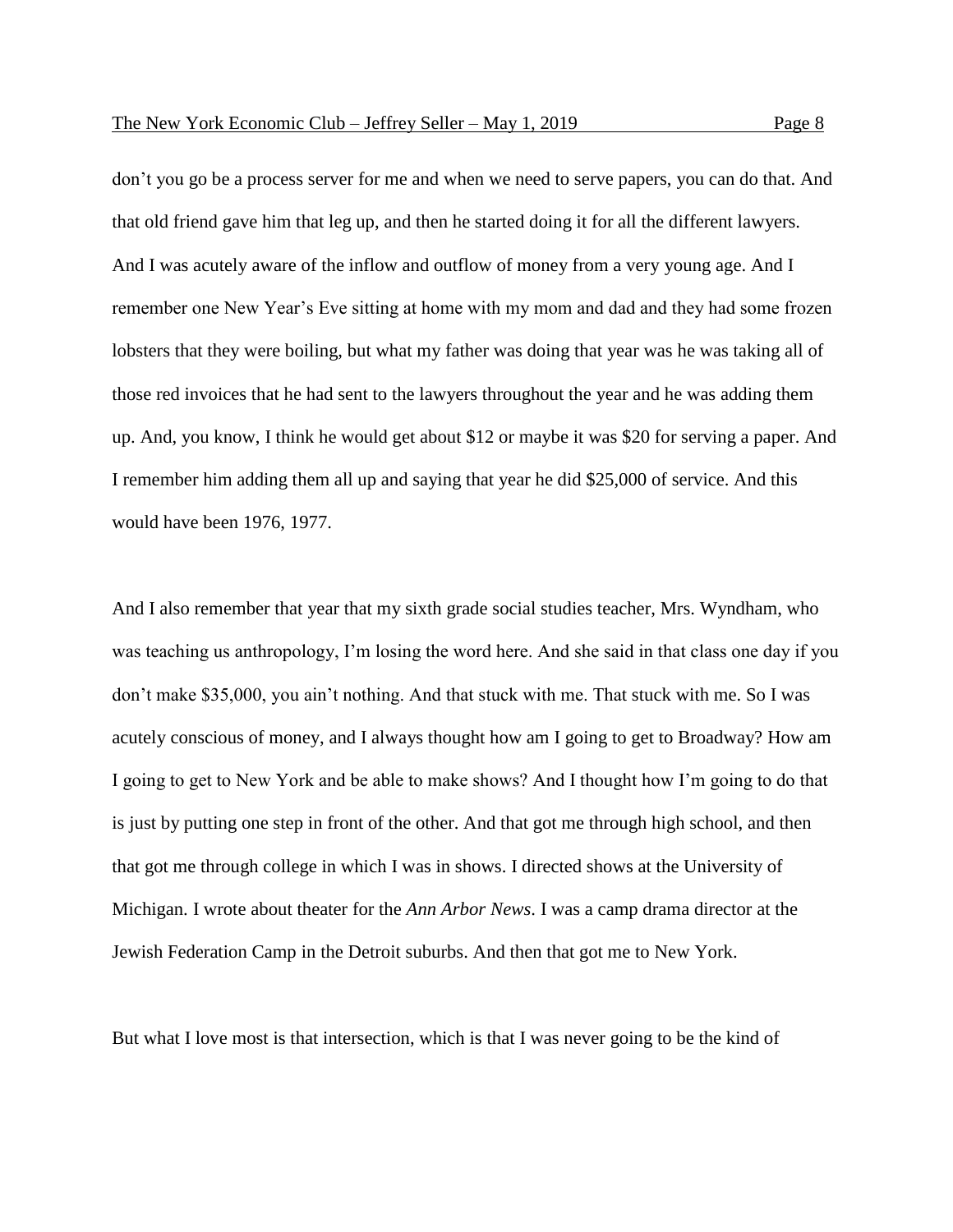don't you go be a process server for me and when we need to serve papers, you can do that. And that old friend gave him that leg up, and then he started doing it for all the different lawyers. And I was acutely aware of the inflow and outflow of money from a very young age. And I remember one New Year's Eve sitting at home with my mom and dad and they had some frozen lobsters that they were boiling, but what my father was doing that year was he was taking all of those red invoices that he had sent to the lawyers throughout the year and he was adding them up. And, you know, I think he would get about \$12 or maybe it was \$20 for serving a paper. And I remember him adding them all up and saying that year he did \$25,000 of service. And this

would have been 1976, 1977.

And I also remember that year that my sixth grade social studies teacher, Mrs. Wyndham, who was teaching us anthropology, I'm losing the word here. And she said in that class one day if you don't make \$35,000, you ain't nothing. And that stuck with me. That stuck with me. So I was acutely conscious of money, and I always thought how am I going to get to Broadway? How am I going to get to New York and be able to make shows? And I thought how I'm going to do that is just by putting one step in front of the other. And that got me through high school, and then that got me through college in which I was in shows. I directed shows at the University of Michigan. I wrote about theater for the *Ann Arbor News*. I was a camp drama director at the Jewish Federation Camp in the Detroit suburbs. And then that got me to New York.

But what I love most is that intersection, which is that I was never going to be the kind of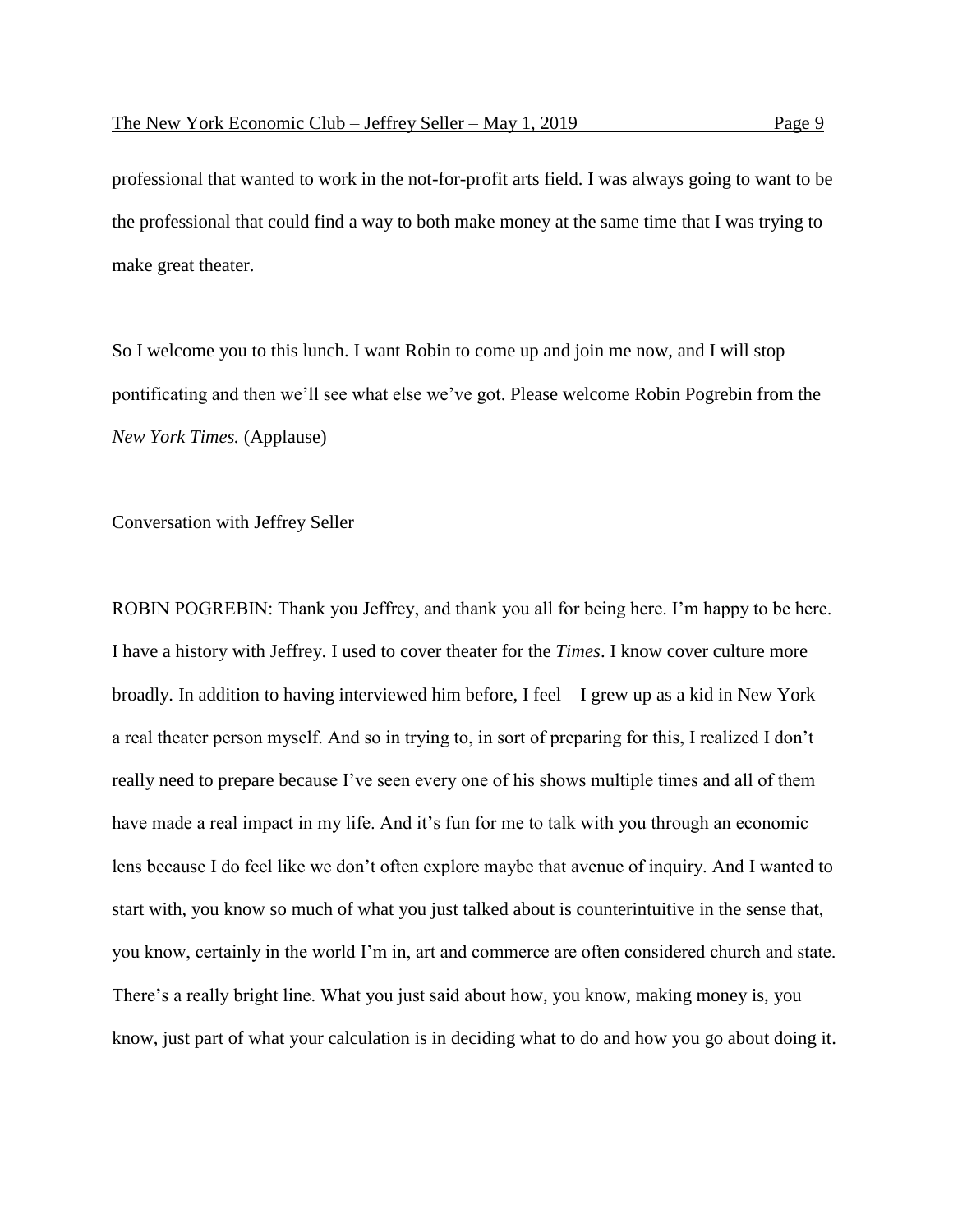professional that wanted to work in the not-for-profit arts field. I was always going to want to be the professional that could find a way to both make money at the same time that I was trying to make great theater.

So I welcome you to this lunch. I want Robin to come up and join me now, and I will stop pontificating and then we'll see what else we've got. Please welcome Robin Pogrebin from the *New York Times.* (Applause)

Conversation with Jeffrey Seller

ROBIN POGREBIN: Thank you Jeffrey, and thank you all for being here. I'm happy to be here. I have a history with Jeffrey. I used to cover theater for the *Times*. I know cover culture more broadly. In addition to having interviewed him before, I feel – I grew up as a kid in New York – a real theater person myself. And so in trying to, in sort of preparing for this, I realized I don't really need to prepare because I've seen every one of his shows multiple times and all of them have made a real impact in my life. And it's fun for me to talk with you through an economic lens because I do feel like we don't often explore maybe that avenue of inquiry. And I wanted to start with, you know so much of what you just talked about is counterintuitive in the sense that, you know, certainly in the world I'm in, art and commerce are often considered church and state. There's a really bright line. What you just said about how, you know, making money is, you know, just part of what your calculation is in deciding what to do and how you go about doing it.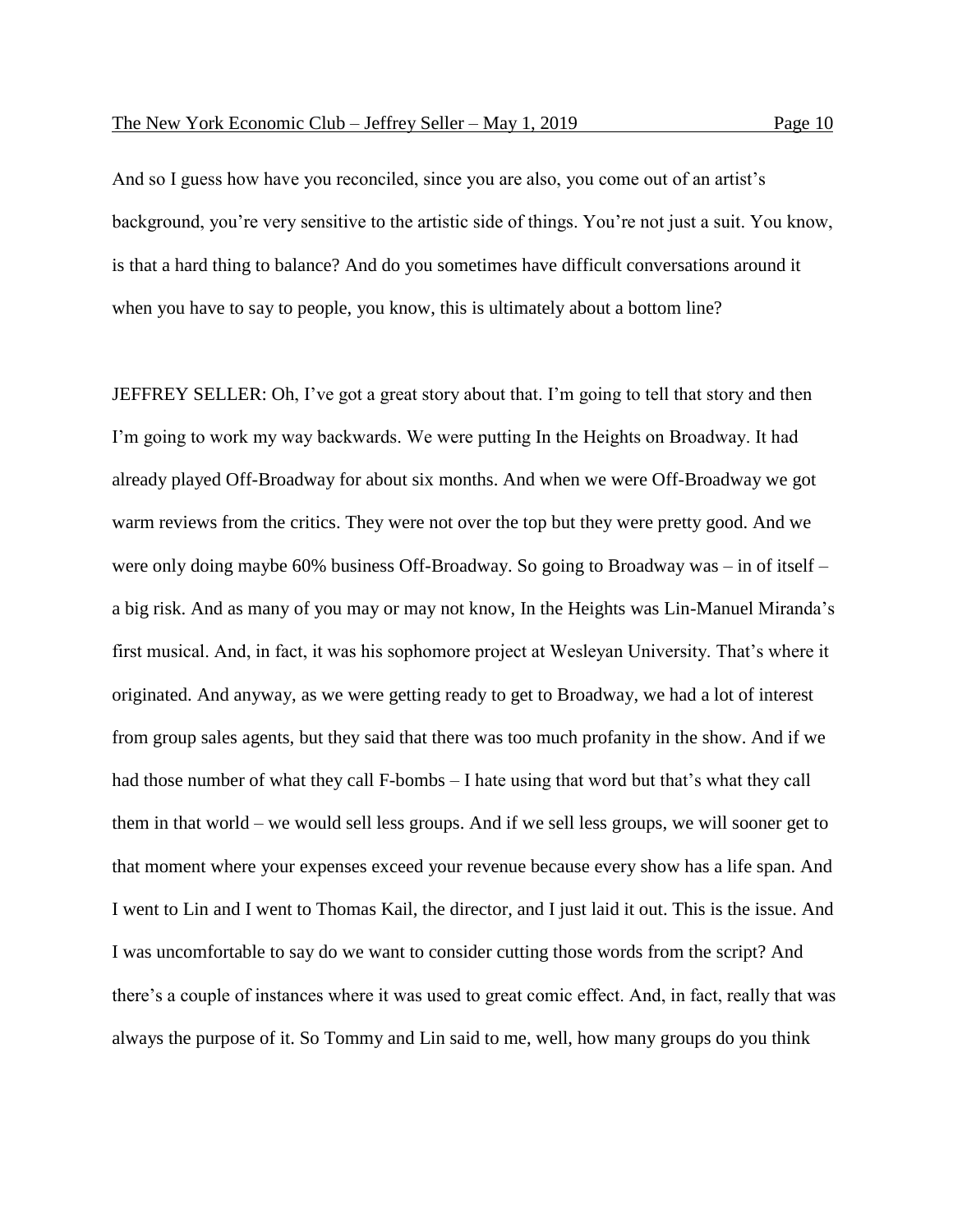And so I guess how have you reconciled, since you are also, you come out of an artist's background, you're very sensitive to the artistic side of things. You're not just a suit. You know, is that a hard thing to balance? And do you sometimes have difficult conversations around it when you have to say to people, you know, this is ultimately about a bottom line?

JEFFREY SELLER: Oh, I've got a great story about that. I'm going to tell that story and then I'm going to work my way backwards. We were putting In the Heights on Broadway. It had already played Off-Broadway for about six months. And when we were Off-Broadway we got warm reviews from the critics. They were not over the top but they were pretty good. And we were only doing maybe 60% business Off-Broadway. So going to Broadway was – in of itself – a big risk. And as many of you may or may not know, In the Heights was Lin-Manuel Miranda's first musical. And, in fact, it was his sophomore project at Wesleyan University. That's where it originated. And anyway, as we were getting ready to get to Broadway, we had a lot of interest from group sales agents, but they said that there was too much profanity in the show. And if we had those number of what they call F-bombs – I hate using that word but that's what they call them in that world – we would sell less groups. And if we sell less groups, we will sooner get to that moment where your expenses exceed your revenue because every show has a life span. And I went to Lin and I went to Thomas Kail, the director, and I just laid it out. This is the issue. And I was uncomfortable to say do we want to consider cutting those words from the script? And there's a couple of instances where it was used to great comic effect. And, in fact, really that was always the purpose of it. So Tommy and Lin said to me, well, how many groups do you think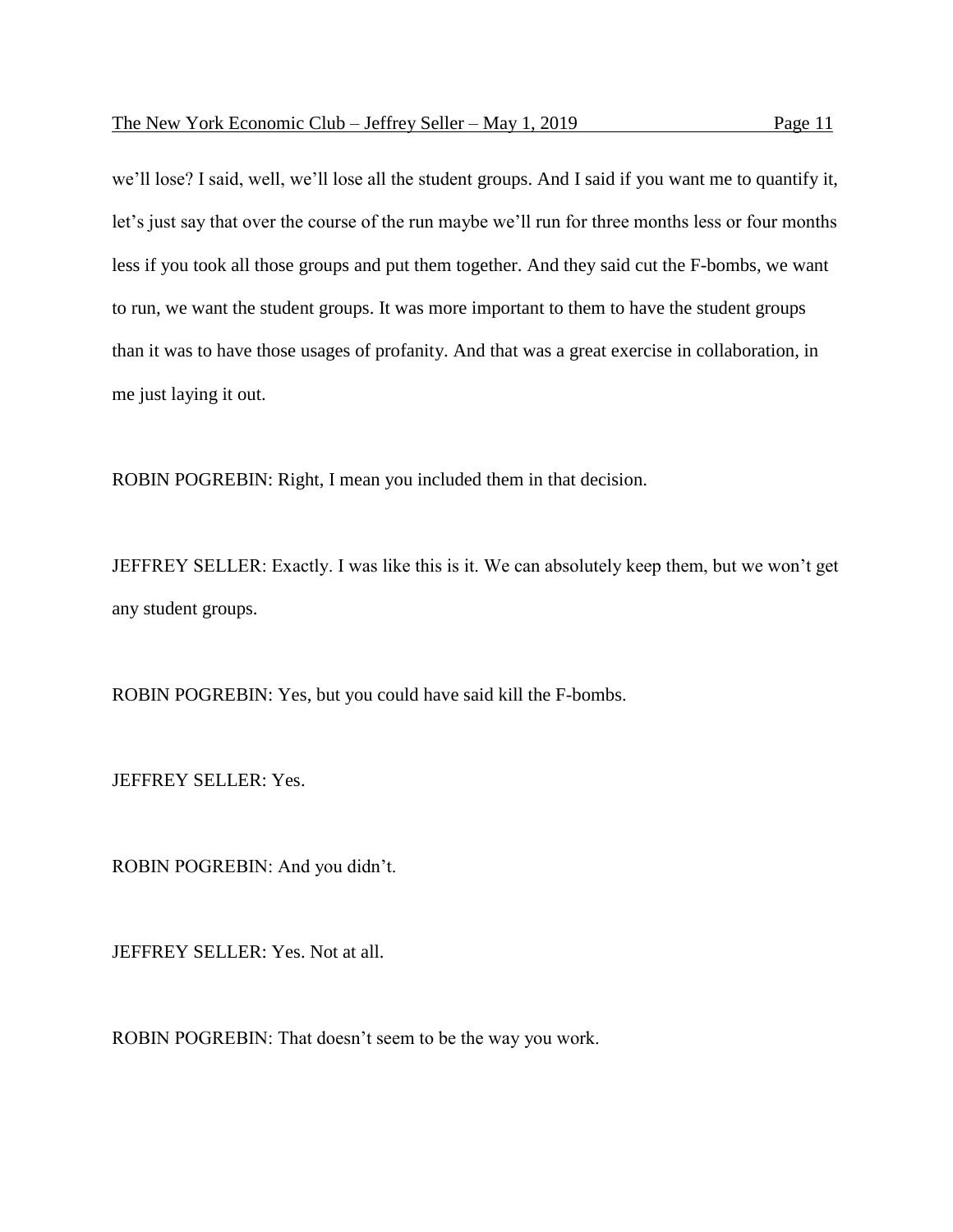we'll lose? I said, well, we'll lose all the student groups. And I said if you want me to quantify it, let's just say that over the course of the run maybe we'll run for three months less or four months less if you took all those groups and put them together. And they said cut the F-bombs, we want to run, we want the student groups. It was more important to them to have the student groups than it was to have those usages of profanity. And that was a great exercise in collaboration, in me just laying it out.

ROBIN POGREBIN: Right, I mean you included them in that decision.

JEFFREY SELLER: Exactly. I was like this is it. We can absolutely keep them, but we won't get any student groups.

ROBIN POGREBIN: Yes, but you could have said kill the F-bombs.

JEFFREY SELLER: Yes.

ROBIN POGREBIN: And you didn't.

JEFFREY SELLER: Yes. Not at all.

ROBIN POGREBIN: That doesn't seem to be the way you work.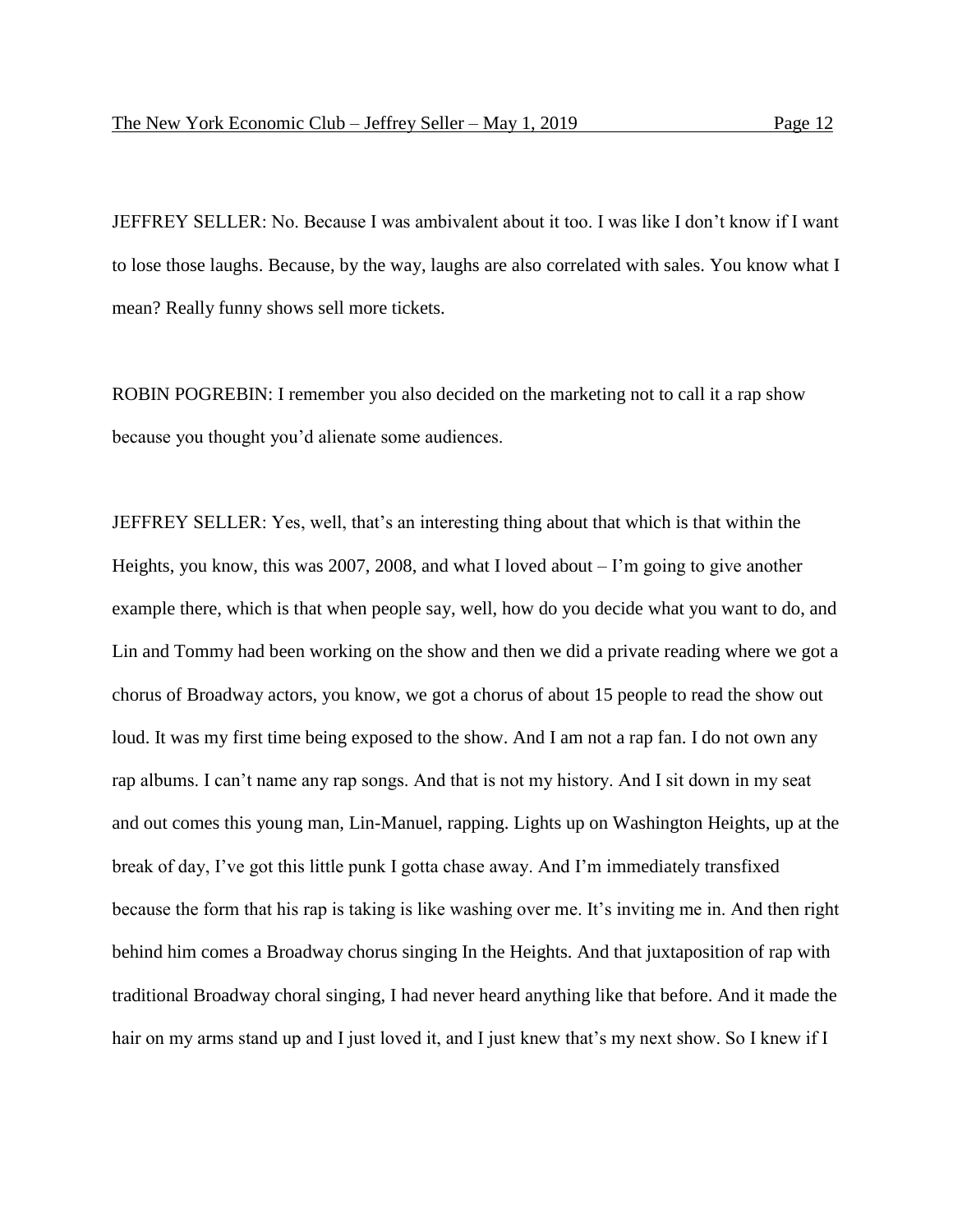JEFFREY SELLER: No. Because I was ambivalent about it too. I was like I don't know if I want to lose those laughs. Because, by the way, laughs are also correlated with sales. You know what I mean? Really funny shows sell more tickets.

ROBIN POGREBIN: I remember you also decided on the marketing not to call it a rap show because you thought you'd alienate some audiences.

JEFFREY SELLER: Yes, well, that's an interesting thing about that which is that within the Heights, you know, this was 2007, 2008, and what I loved about  $-I$ 'm going to give another example there, which is that when people say, well, how do you decide what you want to do, and Lin and Tommy had been working on the show and then we did a private reading where we got a chorus of Broadway actors, you know, we got a chorus of about 15 people to read the show out loud. It was my first time being exposed to the show. And I am not a rap fan. I do not own any rap albums. I can't name any rap songs. And that is not my history. And I sit down in my seat and out comes this young man, Lin-Manuel, rapping. Lights up on Washington Heights, up at the break of day, I've got this little punk I gotta chase away. And I'm immediately transfixed because the form that his rap is taking is like washing over me. It's inviting me in. And then right behind him comes a Broadway chorus singing In the Heights. And that juxtaposition of rap with traditional Broadway choral singing, I had never heard anything like that before. And it made the hair on my arms stand up and I just loved it, and I just knew that's my next show. So I knew if I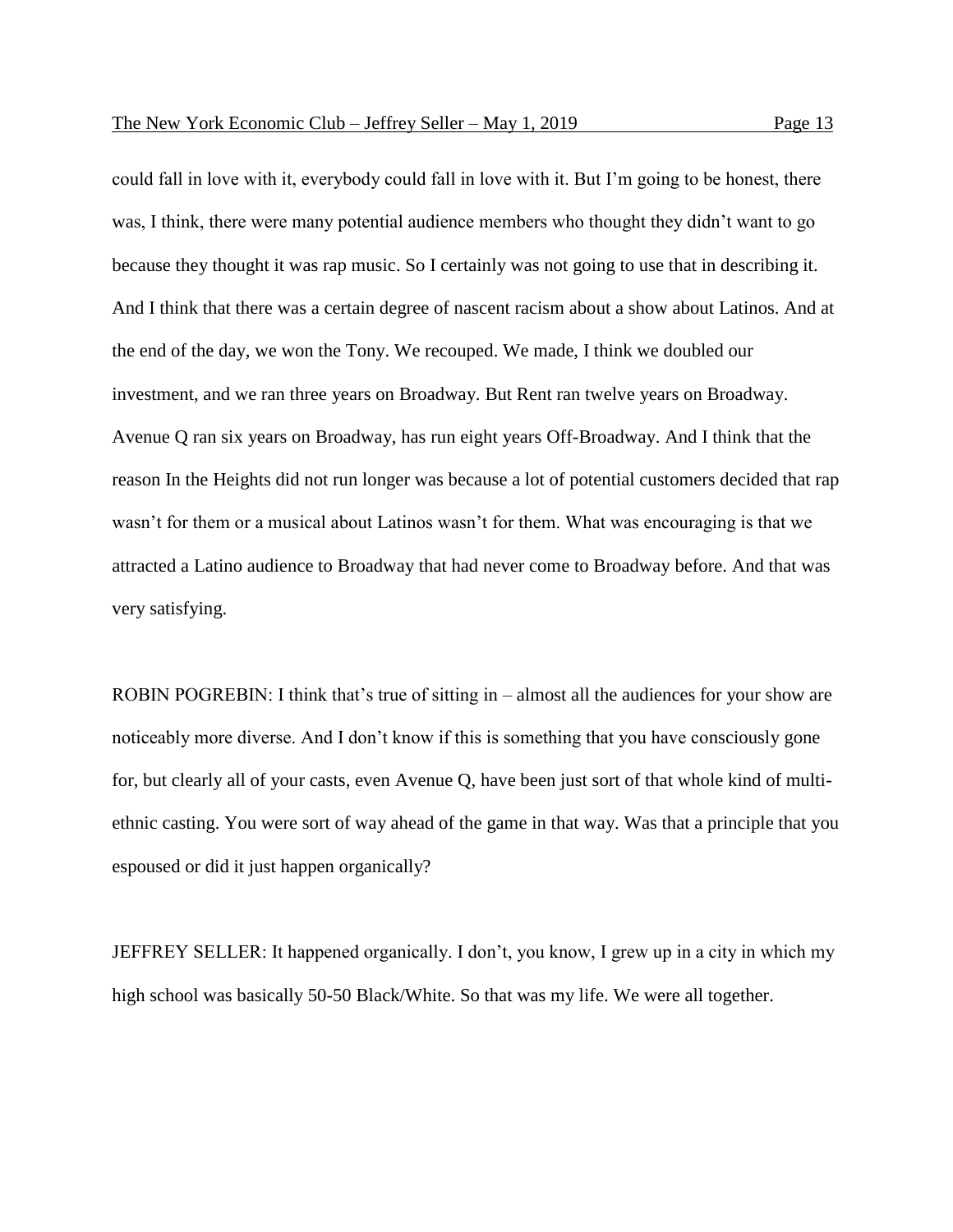could fall in love with it, everybody could fall in love with it. But I'm going to be honest, there was, I think, there were many potential audience members who thought they didn't want to go because they thought it was rap music. So I certainly was not going to use that in describing it. And I think that there was a certain degree of nascent racism about a show about Latinos. And at the end of the day, we won the Tony. We recouped. We made, I think we doubled our investment, and we ran three years on Broadway. But Rent ran twelve years on Broadway. Avenue Q ran six years on Broadway, has run eight years Off-Broadway. And I think that the reason In the Heights did not run longer was because a lot of potential customers decided that rap wasn't for them or a musical about Latinos wasn't for them. What was encouraging is that we attracted a Latino audience to Broadway that had never come to Broadway before. And that was very satisfying.

ROBIN POGREBIN: I think that's true of sitting in – almost all the audiences for your show are noticeably more diverse. And I don't know if this is something that you have consciously gone for, but clearly all of your casts, even Avenue Q, have been just sort of that whole kind of multiethnic casting. You were sort of way ahead of the game in that way. Was that a principle that you espoused or did it just happen organically?

JEFFREY SELLER: It happened organically. I don't, you know, I grew up in a city in which my high school was basically 50-50 Black/White. So that was my life. We were all together.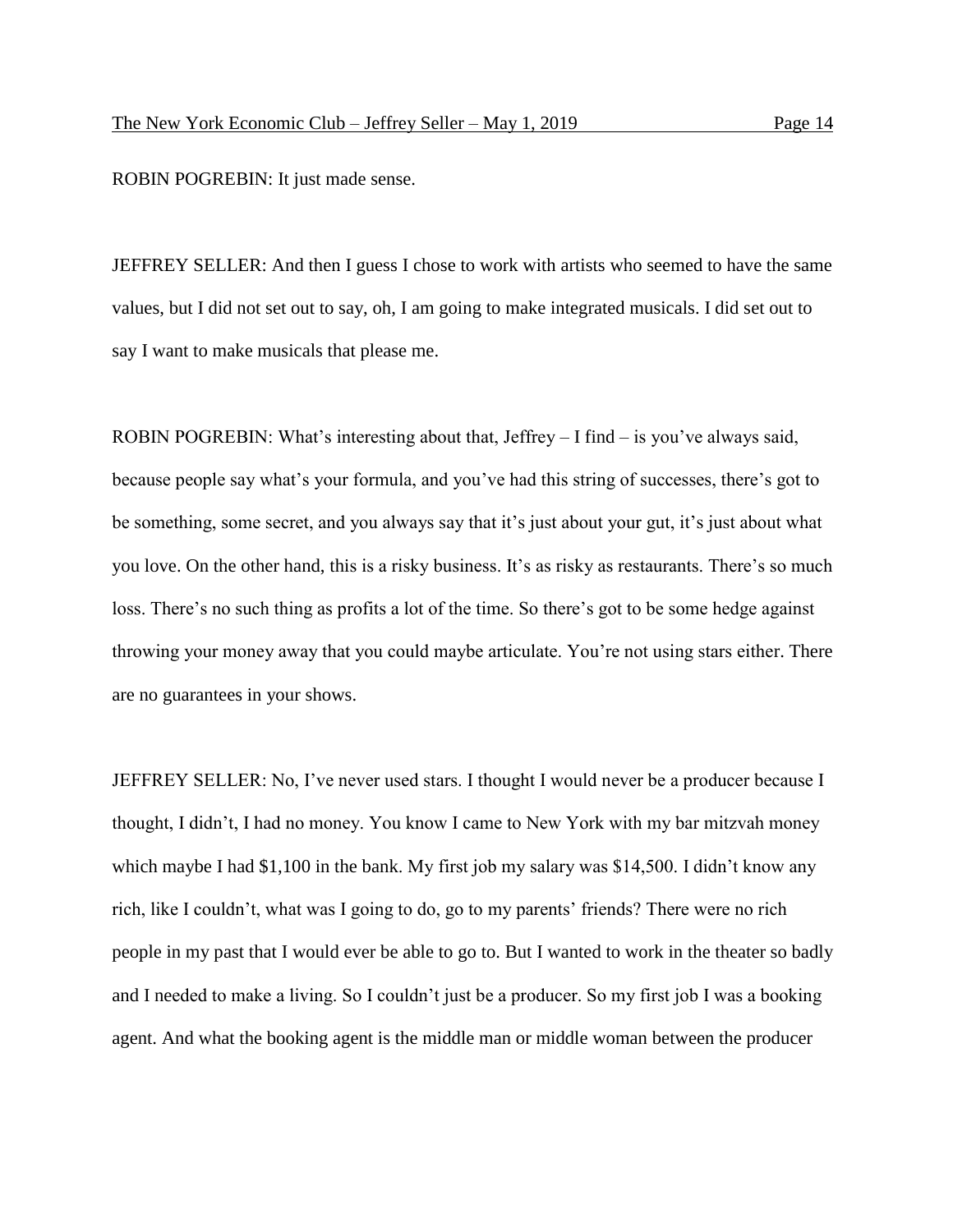ROBIN POGREBIN: It just made sense.

JEFFREY SELLER: And then I guess I chose to work with artists who seemed to have the same values, but I did not set out to say, oh, I am going to make integrated musicals. I did set out to say I want to make musicals that please me.

ROBIN POGREBIN: What's interesting about that, Jeffrey – I find – is you've always said, because people say what's your formula, and you've had this string of successes, there's got to be something, some secret, and you always say that it's just about your gut, it's just about what you love. On the other hand, this is a risky business. It's as risky as restaurants. There's so much loss. There's no such thing as profits a lot of the time. So there's got to be some hedge against throwing your money away that you could maybe articulate. You're not using stars either. There are no guarantees in your shows.

JEFFREY SELLER: No, I've never used stars. I thought I would never be a producer because I thought, I didn't, I had no money. You know I came to New York with my bar mitzvah money which maybe I had \$1,100 in the bank. My first job my salary was \$14,500. I didn't know any rich, like I couldn't, what was I going to do, go to my parents' friends? There were no rich people in my past that I would ever be able to go to. But I wanted to work in the theater so badly and I needed to make a living. So I couldn't just be a producer. So my first job I was a booking agent. And what the booking agent is the middle man or middle woman between the producer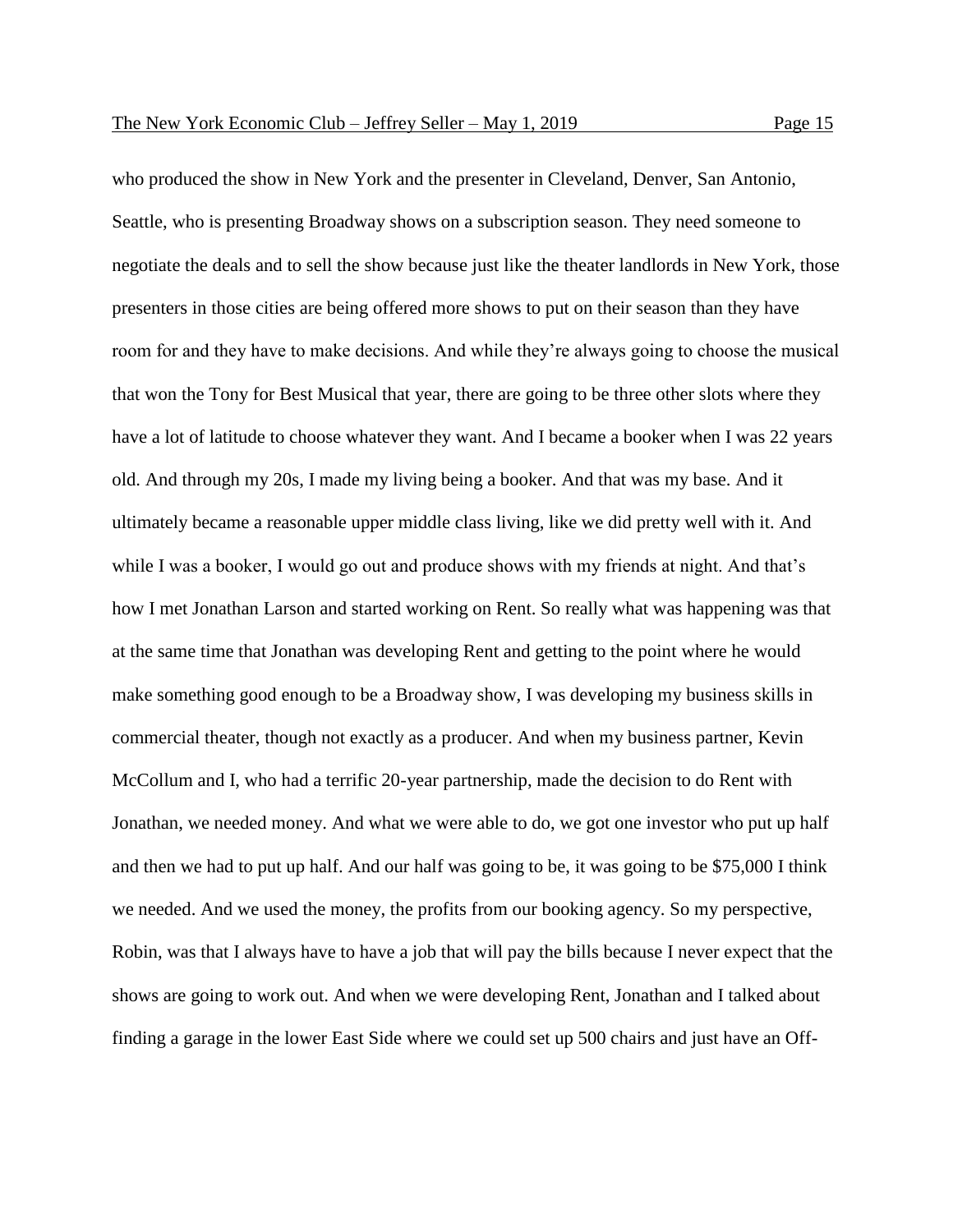who produced the show in New York and the presenter in Cleveland, Denver, San Antonio, Seattle, who is presenting Broadway shows on a subscription season. They need someone to negotiate the deals and to sell the show because just like the theater landlords in New York, those presenters in those cities are being offered more shows to put on their season than they have room for and they have to make decisions. And while they're always going to choose the musical that won the Tony for Best Musical that year, there are going to be three other slots where they have a lot of latitude to choose whatever they want. And I became a booker when I was 22 years old. And through my 20s, I made my living being a booker. And that was my base. And it ultimately became a reasonable upper middle class living, like we did pretty well with it. And while I was a booker, I would go out and produce shows with my friends at night. And that's how I met Jonathan Larson and started working on Rent. So really what was happening was that at the same time that Jonathan was developing Rent and getting to the point where he would make something good enough to be a Broadway show, I was developing my business skills in commercial theater, though not exactly as a producer. And when my business partner, Kevin McCollum and I, who had a terrific 20-year partnership, made the decision to do Rent with Jonathan, we needed money. And what we were able to do, we got one investor who put up half and then we had to put up half. And our half was going to be, it was going to be \$75,000 I think we needed. And we used the money, the profits from our booking agency. So my perspective, Robin, was that I always have to have a job that will pay the bills because I never expect that the shows are going to work out. And when we were developing Rent, Jonathan and I talked about finding a garage in the lower East Side where we could set up 500 chairs and just have an Off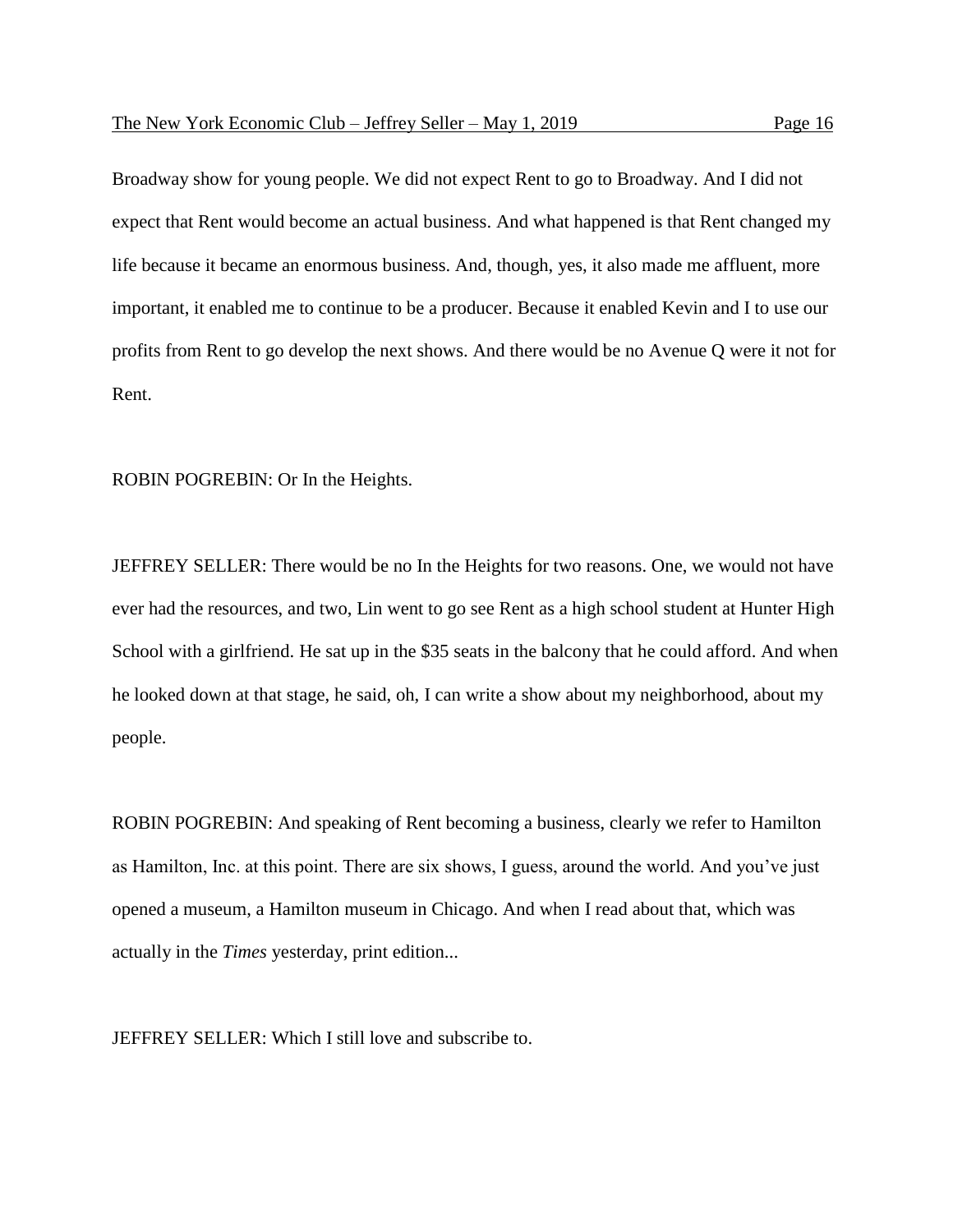Broadway show for young people. We did not expect Rent to go to Broadway. And I did not expect that Rent would become an actual business. And what happened is that Rent changed my life because it became an enormous business. And, though, yes, it also made me affluent, more important, it enabled me to continue to be a producer. Because it enabled Kevin and I to use our profits from Rent to go develop the next shows. And there would be no Avenue Q were it not for Rent.

ROBIN POGREBIN: Or In the Heights.

JEFFREY SELLER: There would be no In the Heights for two reasons. One, we would not have ever had the resources, and two, Lin went to go see Rent as a high school student at Hunter High School with a girlfriend. He sat up in the \$35 seats in the balcony that he could afford. And when he looked down at that stage, he said, oh, I can write a show about my neighborhood, about my people.

ROBIN POGREBIN: And speaking of Rent becoming a business, clearly we refer to Hamilton as Hamilton, Inc. at this point. There are six shows, I guess, around the world. And you've just opened a museum, a Hamilton museum in Chicago. And when I read about that, which was actually in the *Times* yesterday, print edition...

JEFFREY SELLER: Which I still love and subscribe to.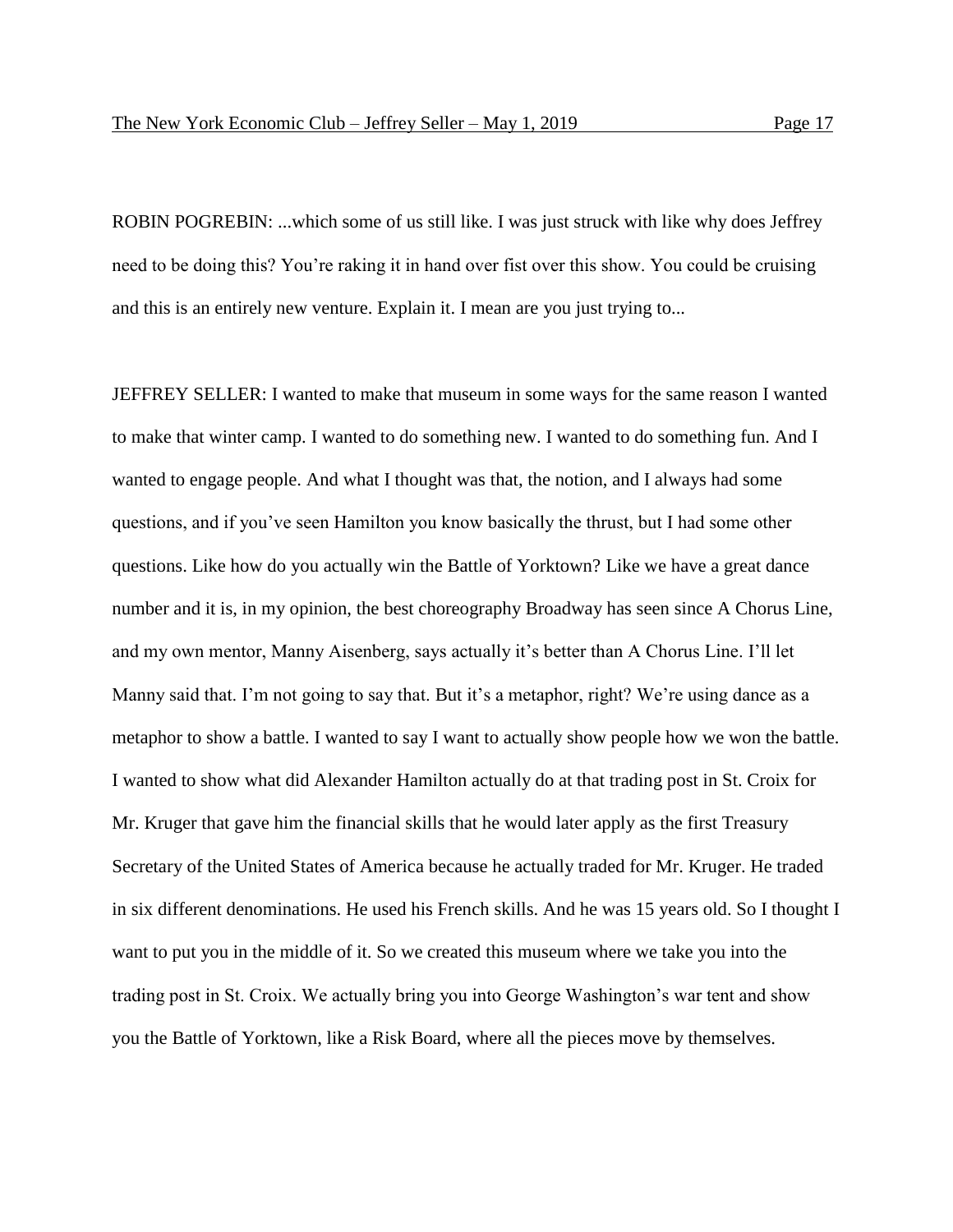ROBIN POGREBIN: ...which some of us still like. I was just struck with like why does Jeffrey need to be doing this? You're raking it in hand over fist over this show. You could be cruising and this is an entirely new venture. Explain it. I mean are you just trying to...

JEFFREY SELLER: I wanted to make that museum in some ways for the same reason I wanted to make that winter camp. I wanted to do something new. I wanted to do something fun. And I wanted to engage people. And what I thought was that, the notion, and I always had some questions, and if you've seen Hamilton you know basically the thrust, but I had some other questions. Like how do you actually win the Battle of Yorktown? Like we have a great dance number and it is, in my opinion, the best choreography Broadway has seen since A Chorus Line, and my own mentor, Manny Aisenberg, says actually it's better than A Chorus Line. I'll let Manny said that. I'm not going to say that. But it's a metaphor, right? We're using dance as a metaphor to show a battle. I wanted to say I want to actually show people how we won the battle. I wanted to show what did Alexander Hamilton actually do at that trading post in St. Croix for Mr. Kruger that gave him the financial skills that he would later apply as the first Treasury Secretary of the United States of America because he actually traded for Mr. Kruger. He traded in six different denominations. He used his French skills. And he was 15 years old. So I thought I want to put you in the middle of it. So we created this museum where we take you into the trading post in St. Croix. We actually bring you into George Washington's war tent and show you the Battle of Yorktown, like a Risk Board, where all the pieces move by themselves.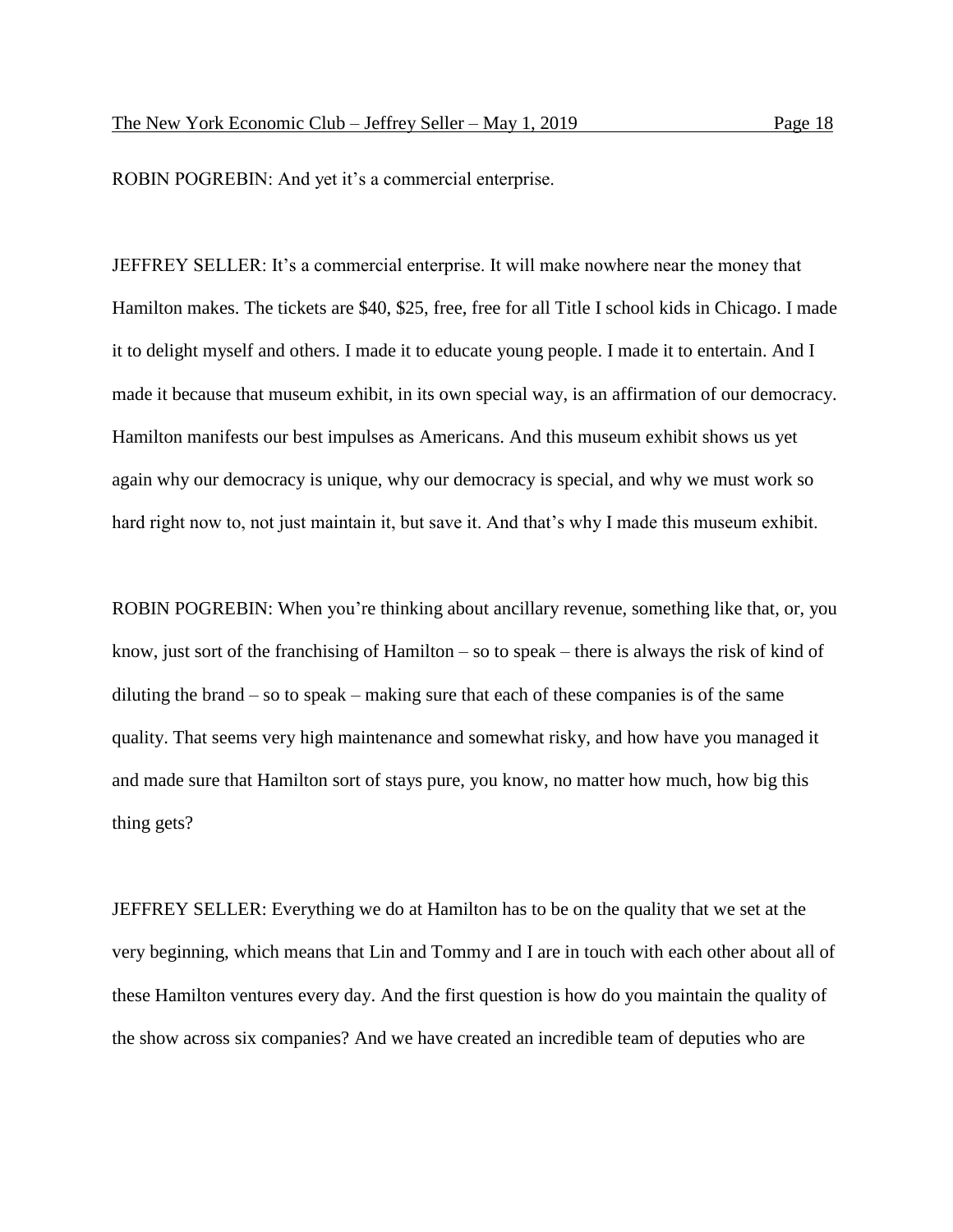ROBIN POGREBIN: And yet it's a commercial enterprise.

JEFFREY SELLER: It's a commercial enterprise. It will make nowhere near the money that Hamilton makes. The tickets are \$40, \$25, free, free for all Title I school kids in Chicago. I made it to delight myself and others. I made it to educate young people. I made it to entertain. And I made it because that museum exhibit, in its own special way, is an affirmation of our democracy. Hamilton manifests our best impulses as Americans. And this museum exhibit shows us yet again why our democracy is unique, why our democracy is special, and why we must work so hard right now to, not just maintain it, but save it. And that's why I made this museum exhibit.

ROBIN POGREBIN: When you're thinking about ancillary revenue, something like that, or, you know, just sort of the franchising of Hamilton – so to speak – there is always the risk of kind of diluting the brand – so to speak – making sure that each of these companies is of the same quality. That seems very high maintenance and somewhat risky, and how have you managed it and made sure that Hamilton sort of stays pure, you know, no matter how much, how big this thing gets?

JEFFREY SELLER: Everything we do at Hamilton has to be on the quality that we set at the very beginning, which means that Lin and Tommy and I are in touch with each other about all of these Hamilton ventures every day. And the first question is how do you maintain the quality of the show across six companies? And we have created an incredible team of deputies who are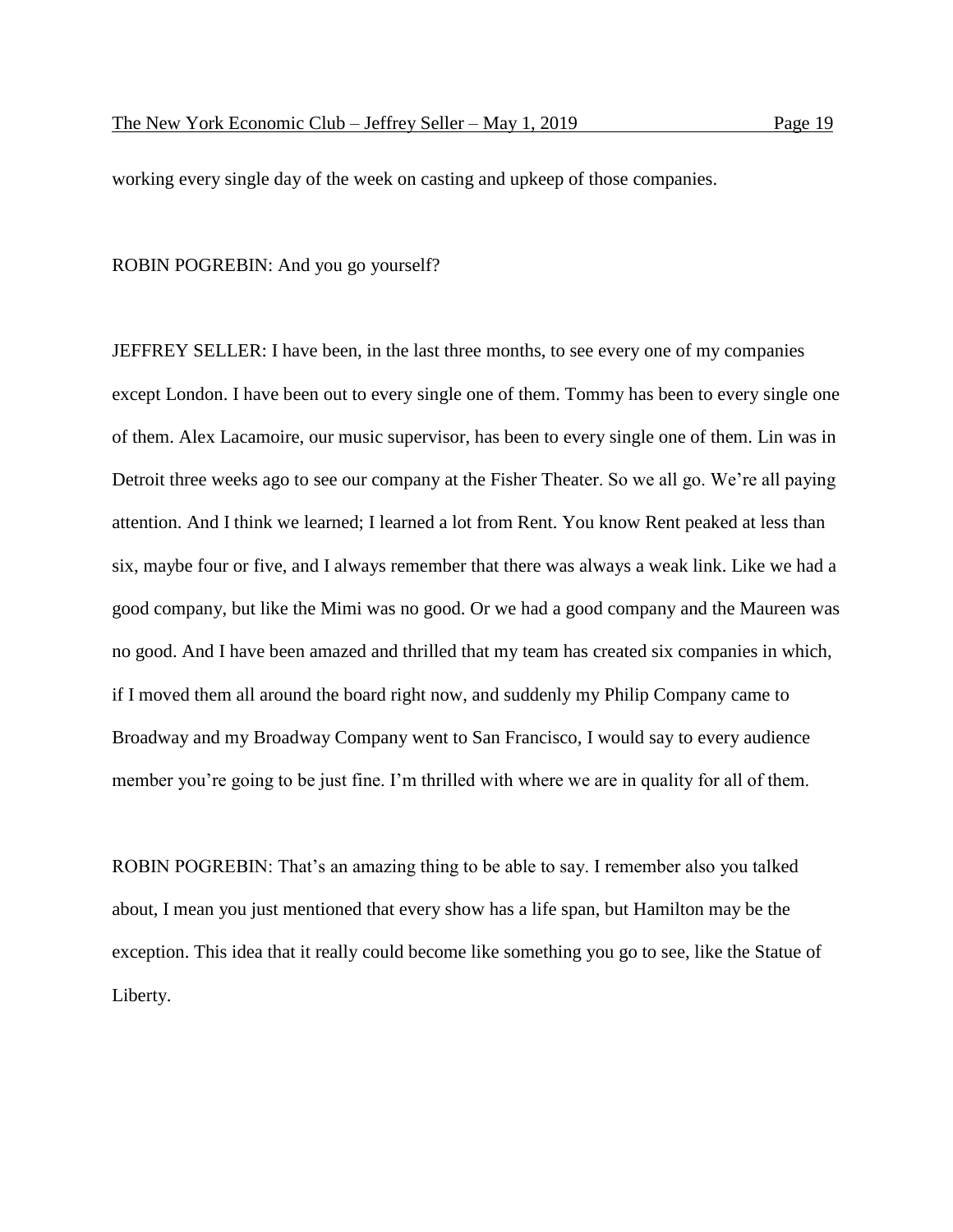working every single day of the week on casting and upkeep of those companies.

## ROBIN POGREBIN: And you go yourself?

JEFFREY SELLER: I have been, in the last three months, to see every one of my companies except London. I have been out to every single one of them. Tommy has been to every single one of them. Alex Lacamoire, our music supervisor, has been to every single one of them. Lin was in Detroit three weeks ago to see our company at the Fisher Theater. So we all go. We're all paying attention. And I think we learned; I learned a lot from Rent. You know Rent peaked at less than six, maybe four or five, and I always remember that there was always a weak link. Like we had a good company, but like the Mimi was no good. Or we had a good company and the Maureen was no good. And I have been amazed and thrilled that my team has created six companies in which, if I moved them all around the board right now, and suddenly my Philip Company came to Broadway and my Broadway Company went to San Francisco, I would say to every audience member you're going to be just fine. I'm thrilled with where we are in quality for all of them.

ROBIN POGREBIN: That's an amazing thing to be able to say. I remember also you talked about, I mean you just mentioned that every show has a life span, but Hamilton may be the exception. This idea that it really could become like something you go to see, like the Statue of Liberty.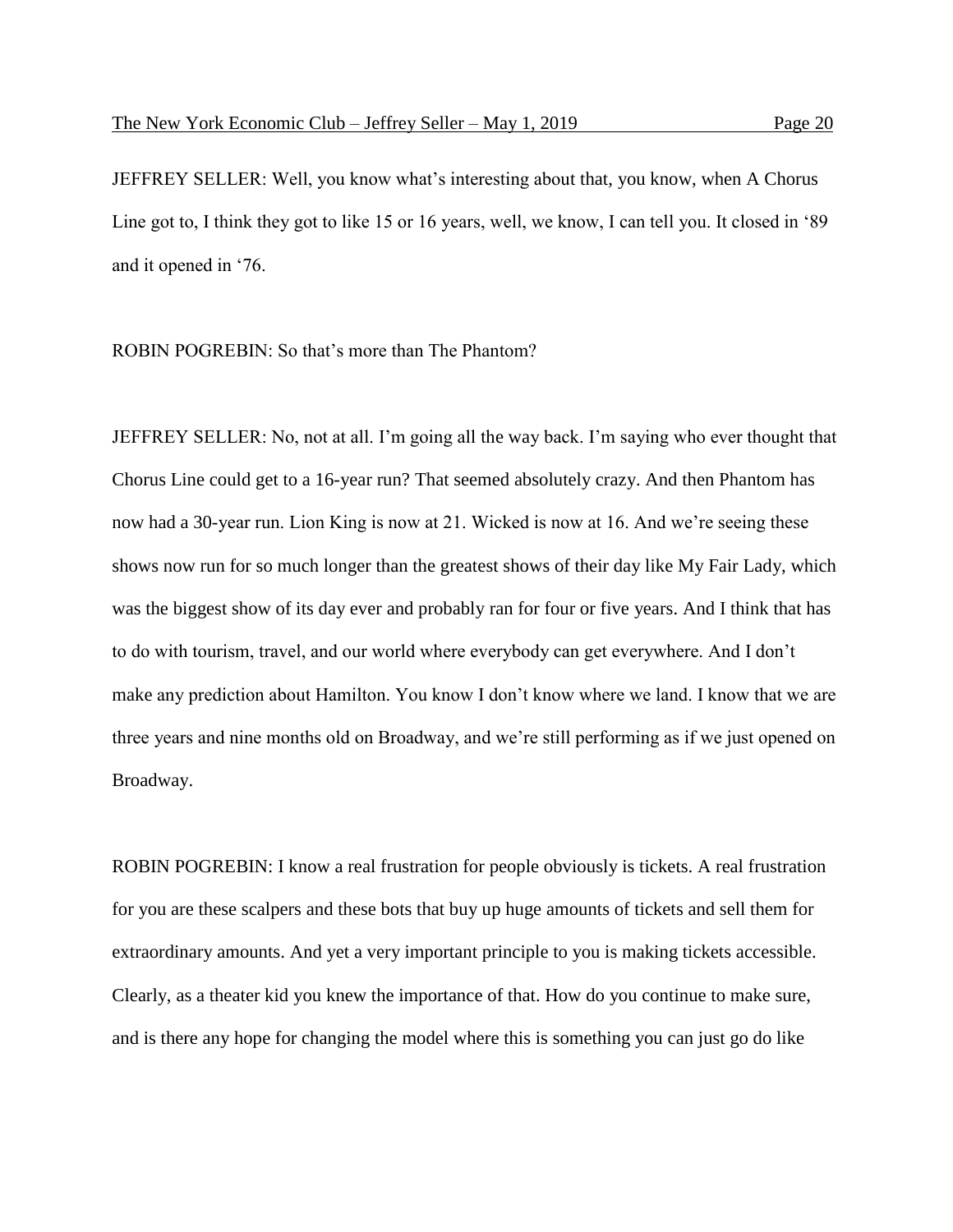JEFFREY SELLER: Well, you know what's interesting about that, you know, when A Chorus Line got to, I think they got to like 15 or 16 years, well, we know, I can tell you. It closed in '89 and it opened in '76.

ROBIN POGREBIN: So that's more than The Phantom?

JEFFREY SELLER: No, not at all. I'm going all the way back. I'm saying who ever thought that Chorus Line could get to a 16-year run? That seemed absolutely crazy. And then Phantom has now had a 30-year run. Lion King is now at 21. Wicked is now at 16. And we're seeing these shows now run for so much longer than the greatest shows of their day like My Fair Lady, which was the biggest show of its day ever and probably ran for four or five years. And I think that has to do with tourism, travel, and our world where everybody can get everywhere. And I don't make any prediction about Hamilton. You know I don't know where we land. I know that we are three years and nine months old on Broadway, and we're still performing as if we just opened on Broadway.

ROBIN POGREBIN: I know a real frustration for people obviously is tickets. A real frustration for you are these scalpers and these bots that buy up huge amounts of tickets and sell them for extraordinary amounts. And yet a very important principle to you is making tickets accessible. Clearly, as a theater kid you knew the importance of that. How do you continue to make sure, and is there any hope for changing the model where this is something you can just go do like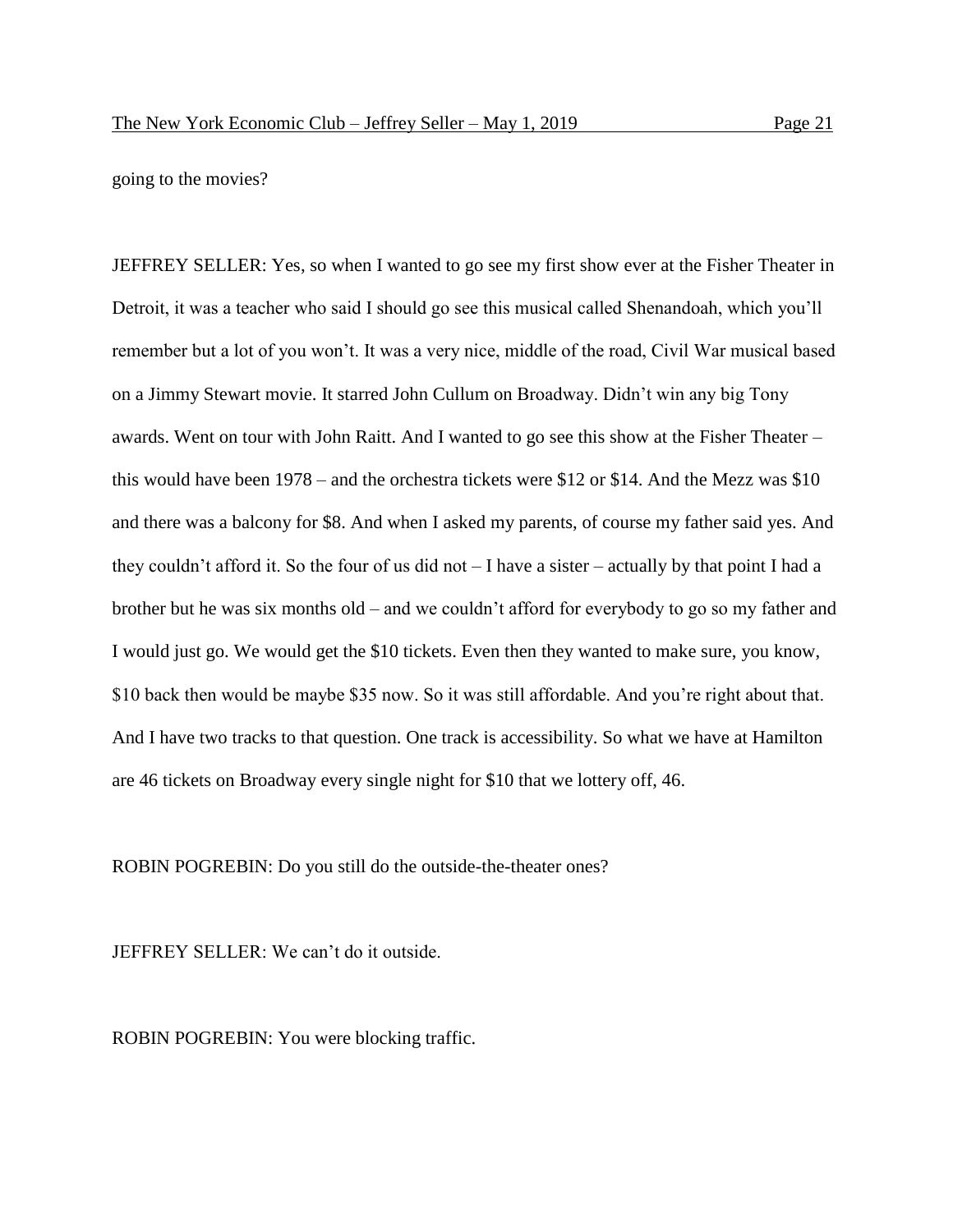going to the movies?

JEFFREY SELLER: Yes, so when I wanted to go see my first show ever at the Fisher Theater in Detroit, it was a teacher who said I should go see this musical called Shenandoah, which you'll remember but a lot of you won't. It was a very nice, middle of the road, Civil War musical based on a Jimmy Stewart movie. It starred John Cullum on Broadway. Didn't win any big Tony awards. Went on tour with John Raitt. And I wanted to go see this show at the Fisher Theater – this would have been 1978 – and the orchestra tickets were \$12 or \$14. And the Mezz was \$10 and there was a balcony for \$8. And when I asked my parents, of course my father said yes. And they couldn't afford it. So the four of us did not – I have a sister – actually by that point I had a brother but he was six months old – and we couldn't afford for everybody to go so my father and I would just go. We would get the \$10 tickets. Even then they wanted to make sure, you know, \$10 back then would be maybe \$35 now. So it was still affordable. And you're right about that. And I have two tracks to that question. One track is accessibility. So what we have at Hamilton are 46 tickets on Broadway every single night for \$10 that we lottery off, 46.

ROBIN POGREBIN: Do you still do the outside-the-theater ones?

JEFFREY SELLER: We can't do it outside.

ROBIN POGREBIN: You were blocking traffic.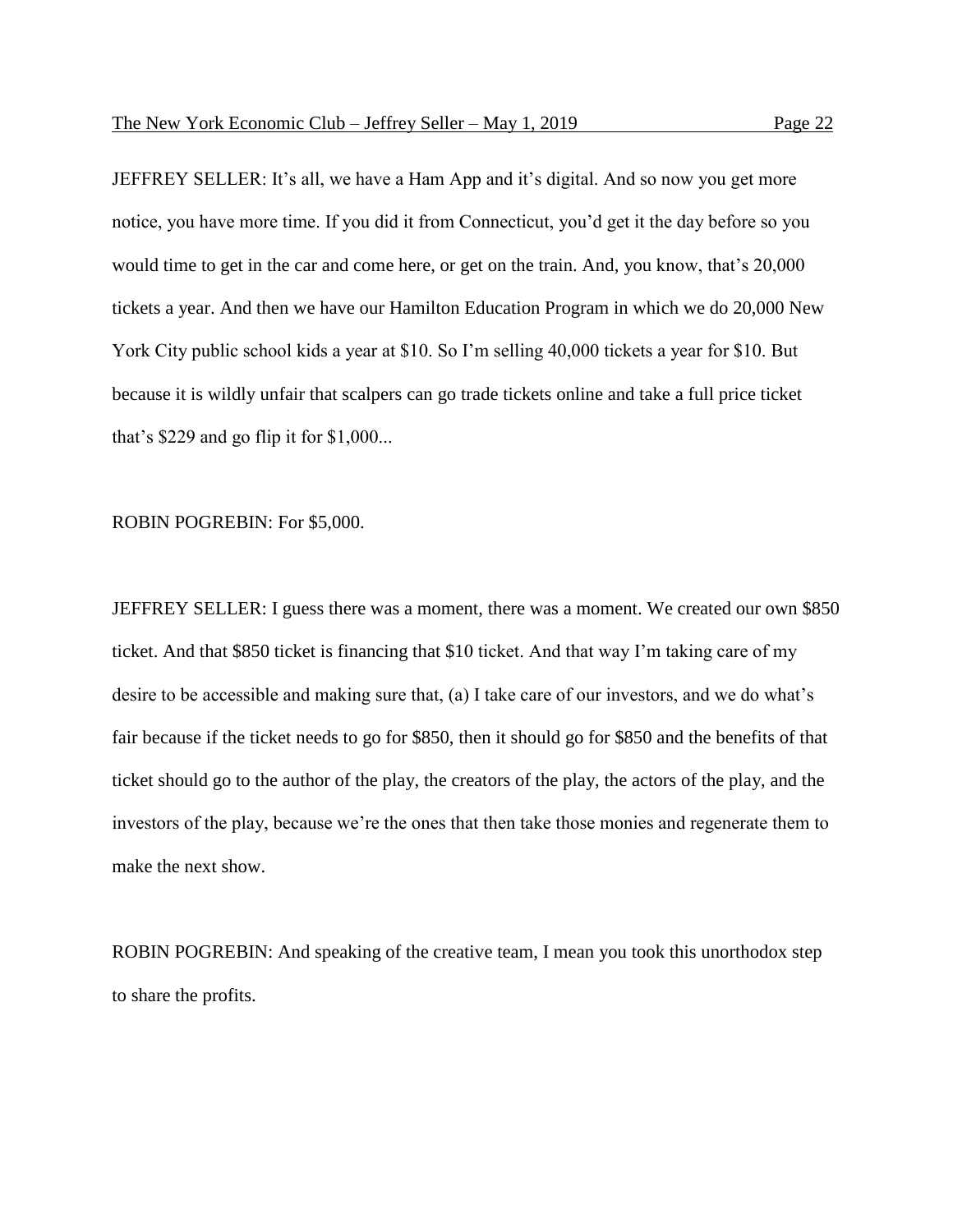JEFFREY SELLER: It's all, we have a Ham App and it's digital. And so now you get more notice, you have more time. If you did it from Connecticut, you'd get it the day before so you would time to get in the car and come here, or get on the train. And, you know, that's 20,000 tickets a year. And then we have our Hamilton Education Program in which we do 20,000 New York City public school kids a year at \$10. So I'm selling 40,000 tickets a year for \$10. But because it is wildly unfair that scalpers can go trade tickets online and take a full price ticket that's \$229 and go flip it for \$1,000...

ROBIN POGREBIN: For \$5,000.

JEFFREY SELLER: I guess there was a moment, there was a moment. We created our own \$850 ticket. And that \$850 ticket is financing that \$10 ticket. And that way I'm taking care of my desire to be accessible and making sure that, (a) I take care of our investors, and we do what's fair because if the ticket needs to go for \$850, then it should go for \$850 and the benefits of that ticket should go to the author of the play, the creators of the play, the actors of the play, and the investors of the play, because we're the ones that then take those monies and regenerate them to make the next show.

ROBIN POGREBIN: And speaking of the creative team, I mean you took this unorthodox step to share the profits.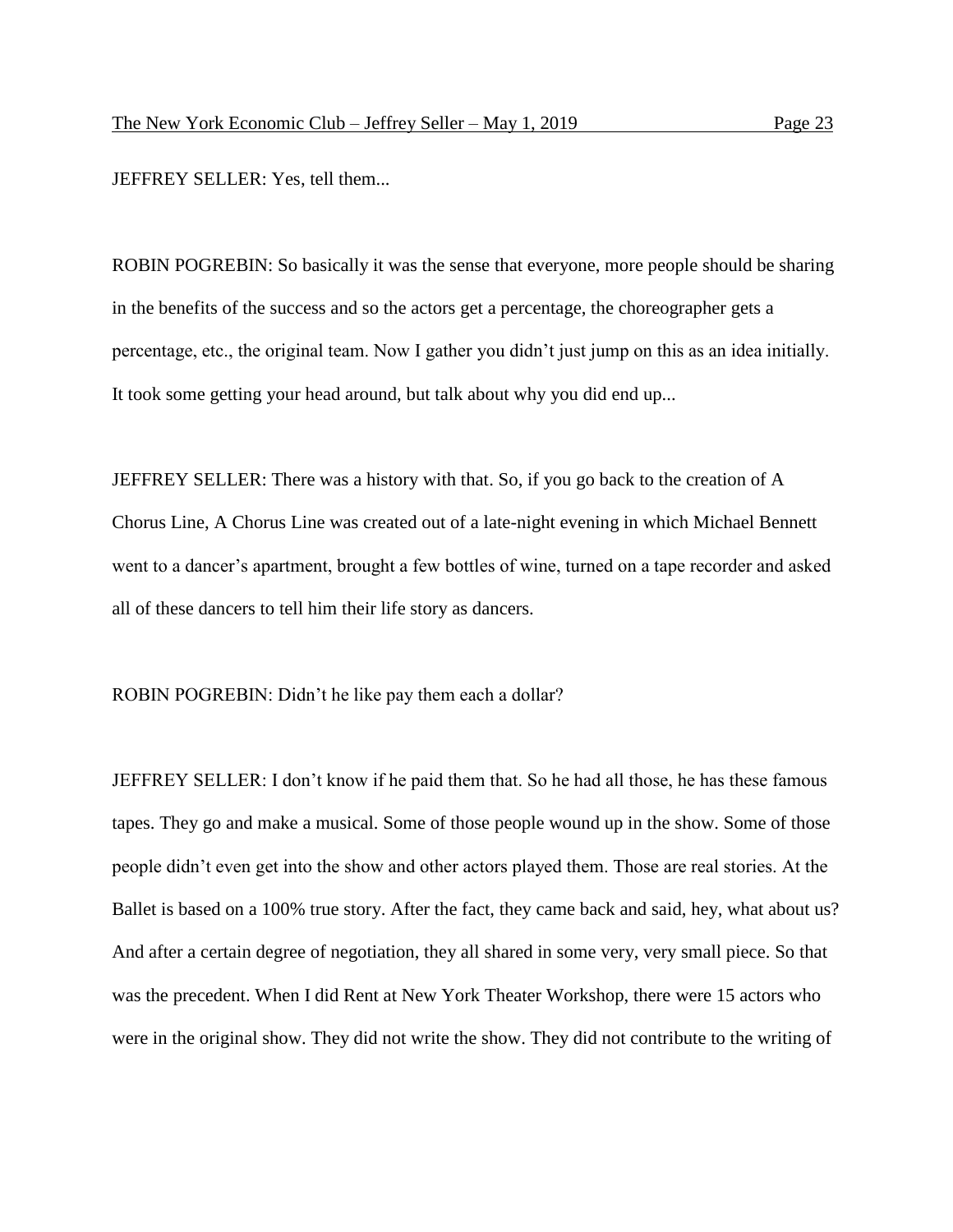JEFFREY SELLER: Yes, tell them...

ROBIN POGREBIN: So basically it was the sense that everyone, more people should be sharing in the benefits of the success and so the actors get a percentage, the choreographer gets a percentage, etc., the original team. Now I gather you didn't just jump on this as an idea initially. It took some getting your head around, but talk about why you did end up...

JEFFREY SELLER: There was a history with that. So, if you go back to the creation of A Chorus Line, A Chorus Line was created out of a late-night evening in which Michael Bennett went to a dancer's apartment, brought a few bottles of wine, turned on a tape recorder and asked all of these dancers to tell him their life story as dancers.

ROBIN POGREBIN: Didn't he like pay them each a dollar?

JEFFREY SELLER: I don't know if he paid them that. So he had all those, he has these famous tapes. They go and make a musical. Some of those people wound up in the show. Some of those people didn't even get into the show and other actors played them. Those are real stories. At the Ballet is based on a 100% true story. After the fact, they came back and said, hey, what about us? And after a certain degree of negotiation, they all shared in some very, very small piece. So that was the precedent. When I did Rent at New York Theater Workshop, there were 15 actors who were in the original show. They did not write the show. They did not contribute to the writing of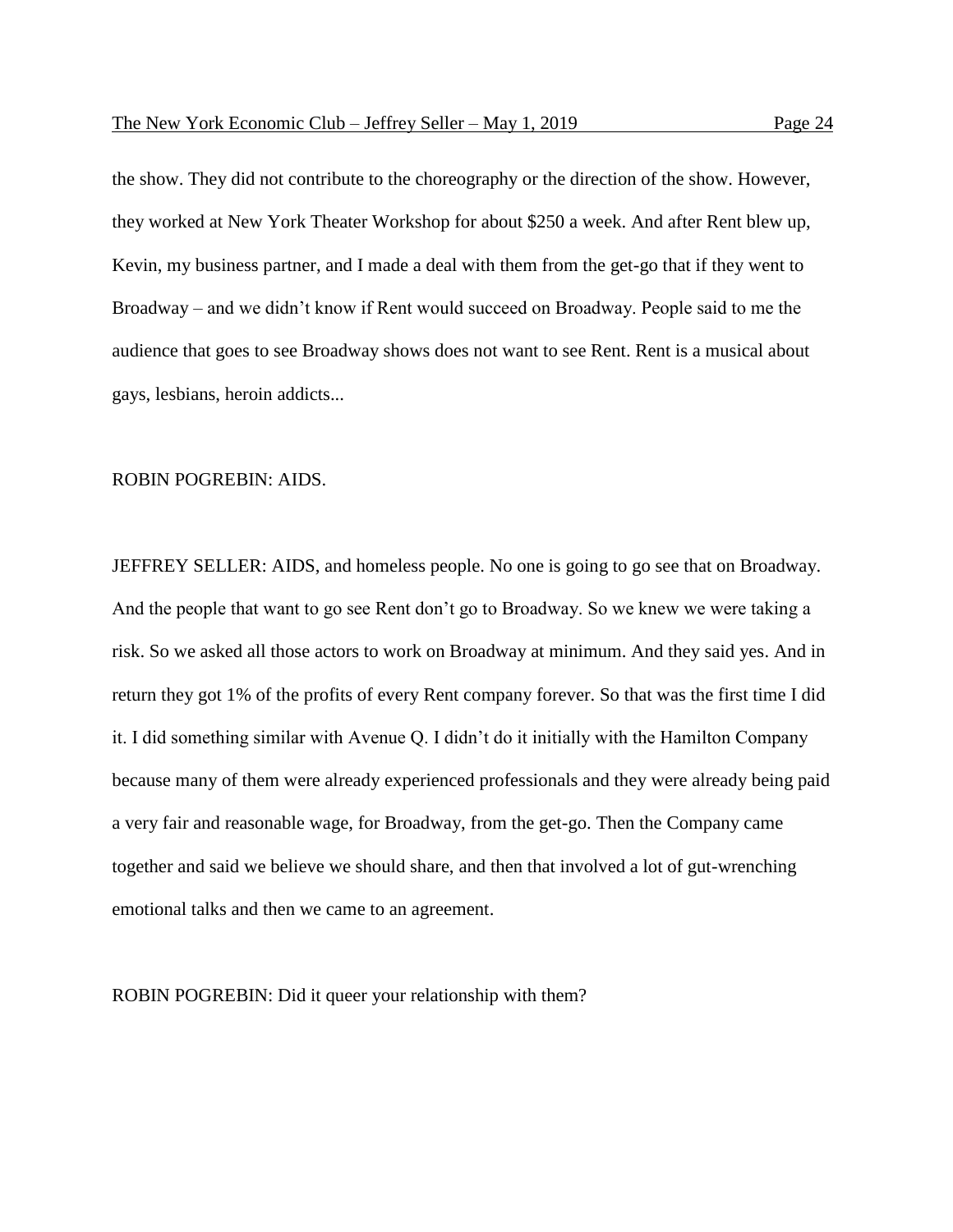the show. They did not contribute to the choreography or the direction of the show. However, they worked at New York Theater Workshop for about \$250 a week. And after Rent blew up, Kevin, my business partner, and I made a deal with them from the get-go that if they went to Broadway – and we didn't know if Rent would succeed on Broadway. People said to me the audience that goes to see Broadway shows does not want to see Rent. Rent is a musical about gays, lesbians, heroin addicts...

# ROBIN POGREBIN: AIDS.

JEFFREY SELLER: AIDS, and homeless people. No one is going to go see that on Broadway. And the people that want to go see Rent don't go to Broadway. So we knew we were taking a risk. So we asked all those actors to work on Broadway at minimum. And they said yes. And in return they got 1% of the profits of every Rent company forever. So that was the first time I did it. I did something similar with Avenue Q. I didn't do it initially with the Hamilton Company because many of them were already experienced professionals and they were already being paid a very fair and reasonable wage, for Broadway, from the get-go. Then the Company came together and said we believe we should share, and then that involved a lot of gut-wrenching emotional talks and then we came to an agreement.

ROBIN POGREBIN: Did it queer your relationship with them?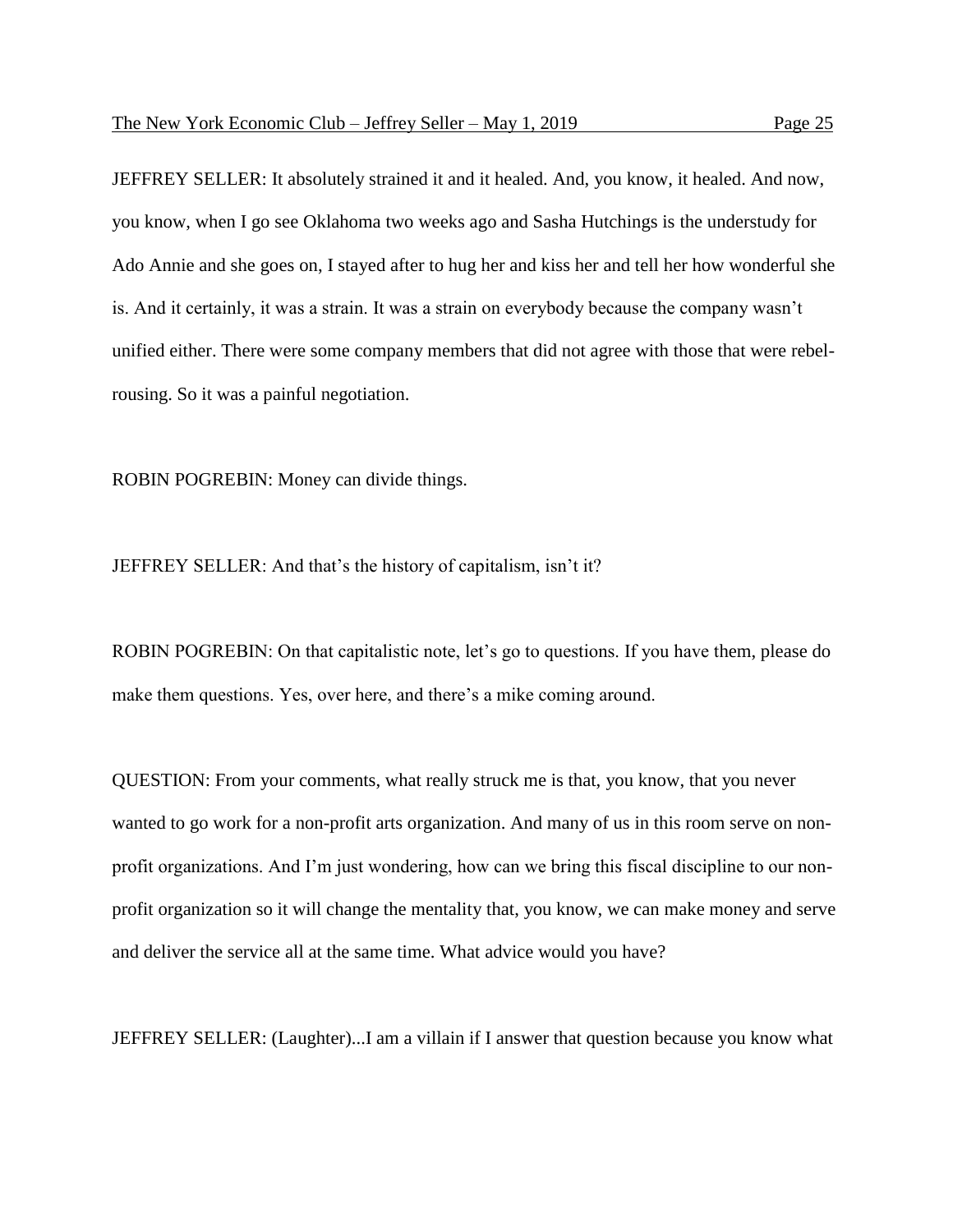JEFFREY SELLER: It absolutely strained it and it healed. And, you know, it healed. And now, you know, when I go see Oklahoma two weeks ago and Sasha Hutchings is the understudy for Ado Annie and she goes on, I stayed after to hug her and kiss her and tell her how wonderful she is. And it certainly, it was a strain. It was a strain on everybody because the company wasn't unified either. There were some company members that did not agree with those that were rebelrousing. So it was a painful negotiation.

ROBIN POGREBIN: Money can divide things.

JEFFREY SELLER: And that's the history of capitalism, isn't it?

ROBIN POGREBIN: On that capitalistic note, let's go to questions. If you have them, please do make them questions. Yes, over here, and there's a mike coming around.

QUESTION: From your comments, what really struck me is that, you know, that you never wanted to go work for a non-profit arts organization. And many of us in this room serve on nonprofit organizations. And I'm just wondering, how can we bring this fiscal discipline to our nonprofit organization so it will change the mentality that, you know, we can make money and serve and deliver the service all at the same time. What advice would you have?

JEFFREY SELLER: (Laughter)...I am a villain if I answer that question because you know what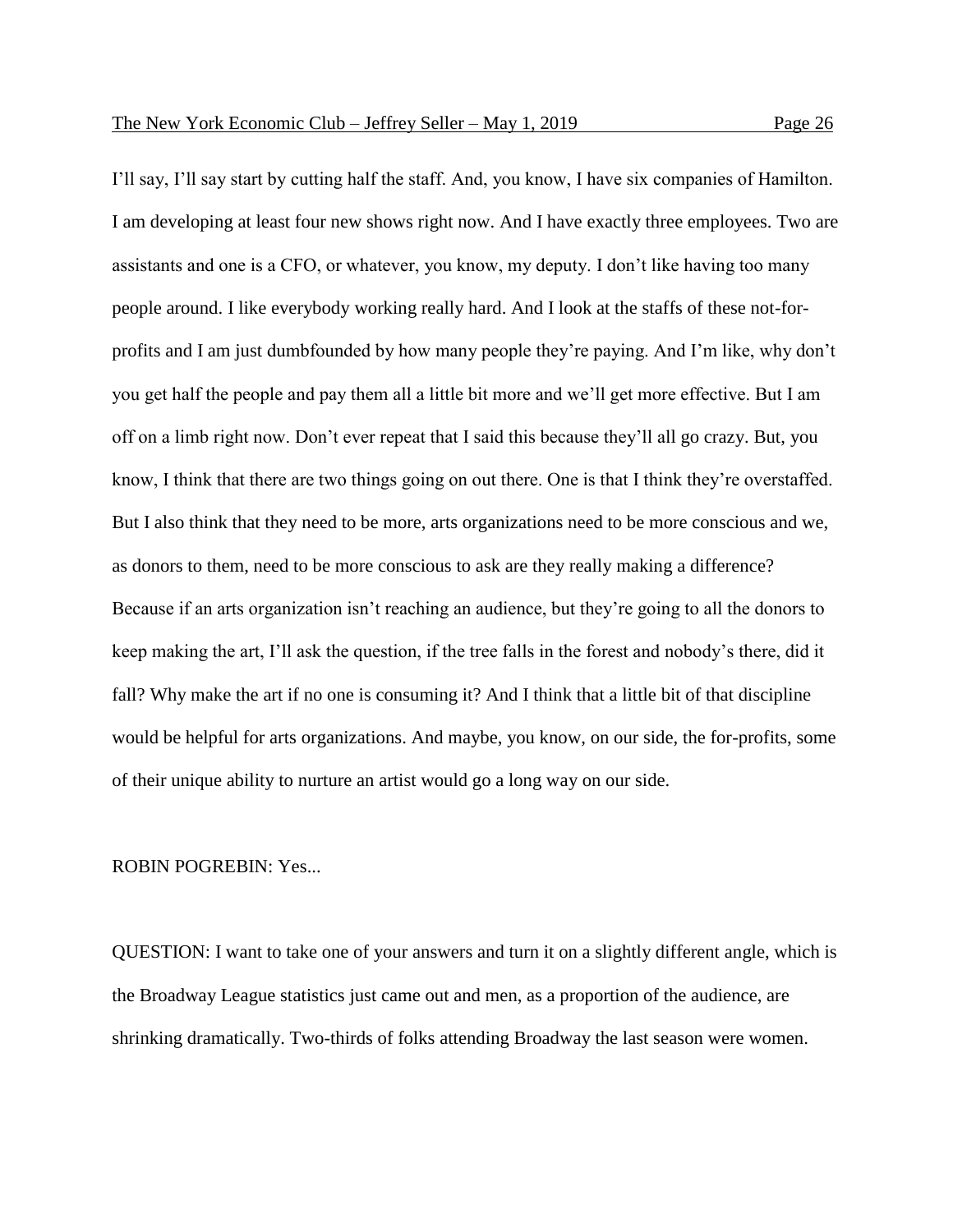I'll say, I'll say start by cutting half the staff. And, you know, I have six companies of Hamilton. I am developing at least four new shows right now. And I have exactly three employees. Two are assistants and one is a CFO, or whatever, you know, my deputy. I don't like having too many people around. I like everybody working really hard. And I look at the staffs of these not-forprofits and I am just dumbfounded by how many people they're paying. And I'm like, why don't you get half the people and pay them all a little bit more and we'll get more effective. But I am off on a limb right now. Don't ever repeat that I said this because they'll all go crazy. But, you know, I think that there are two things going on out there. One is that I think they're overstaffed. But I also think that they need to be more, arts organizations need to be more conscious and we, as donors to them, need to be more conscious to ask are they really making a difference? Because if an arts organization isn't reaching an audience, but they're going to all the donors to keep making the art, I'll ask the question, if the tree falls in the forest and nobody's there, did it fall? Why make the art if no one is consuming it? And I think that a little bit of that discipline would be helpful for arts organizations. And maybe, you know, on our side, the for-profits, some of their unique ability to nurture an artist would go a long way on our side.

#### ROBIN POGREBIN: Yes...

QUESTION: I want to take one of your answers and turn it on a slightly different angle, which is the Broadway League statistics just came out and men, as a proportion of the audience, are shrinking dramatically. Two-thirds of folks attending Broadway the last season were women.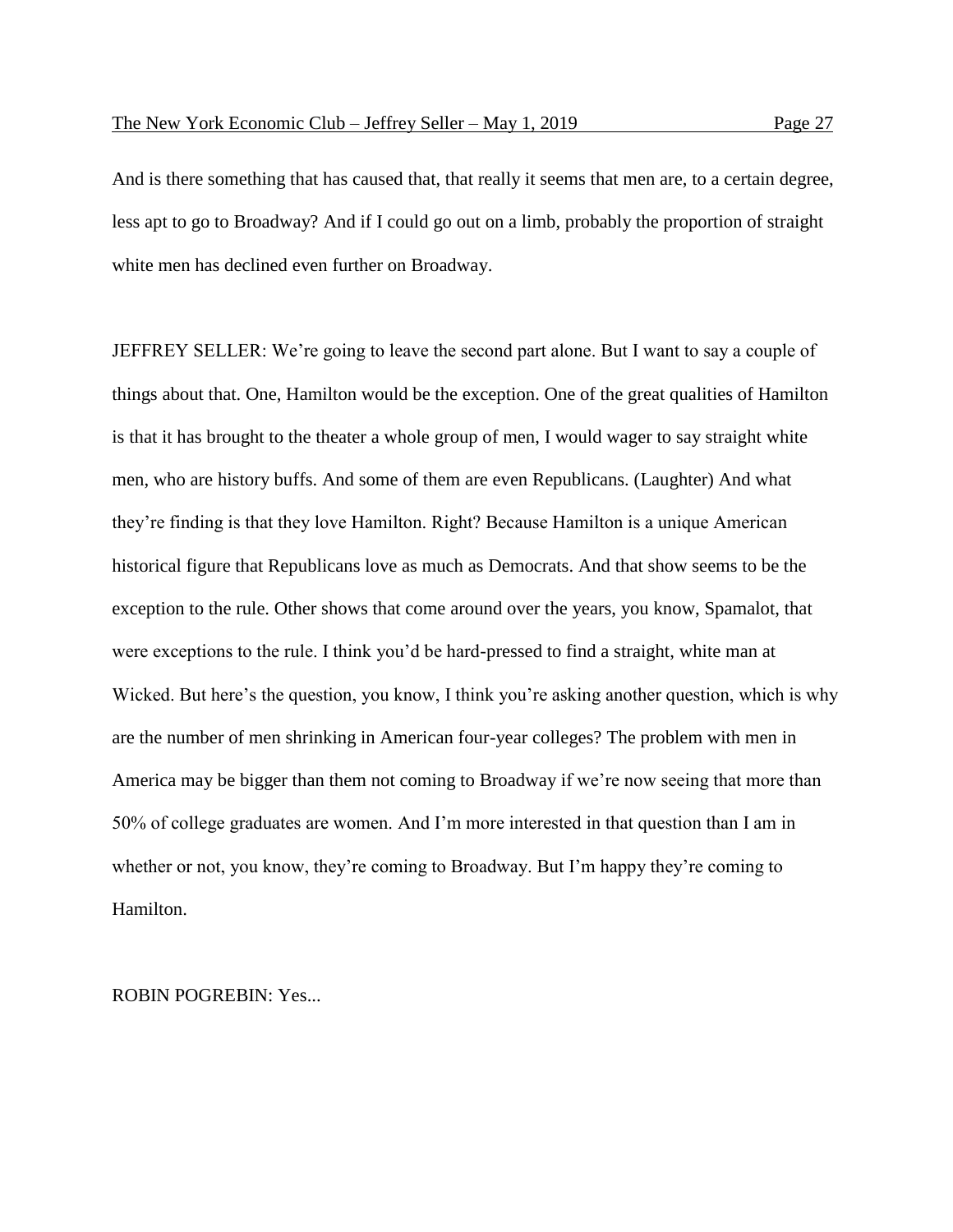And is there something that has caused that, that really it seems that men are, to a certain degree, less apt to go to Broadway? And if I could go out on a limb, probably the proportion of straight white men has declined even further on Broadway.

JEFFREY SELLER: We're going to leave the second part alone. But I want to say a couple of things about that. One, Hamilton would be the exception. One of the great qualities of Hamilton is that it has brought to the theater a whole group of men, I would wager to say straight white men, who are history buffs. And some of them are even Republicans. (Laughter) And what they're finding is that they love Hamilton. Right? Because Hamilton is a unique American historical figure that Republicans love as much as Democrats. And that show seems to be the exception to the rule. Other shows that come around over the years, you know, Spamalot, that were exceptions to the rule. I think you'd be hard-pressed to find a straight, white man at Wicked. But here's the question, you know, I think you're asking another question, which is why are the number of men shrinking in American four-year colleges? The problem with men in America may be bigger than them not coming to Broadway if we're now seeing that more than 50% of college graduates are women. And I'm more interested in that question than I am in whether or not, you know, they're coming to Broadway. But I'm happy they're coming to Hamilton.

ROBIN POGREBIN: Yes...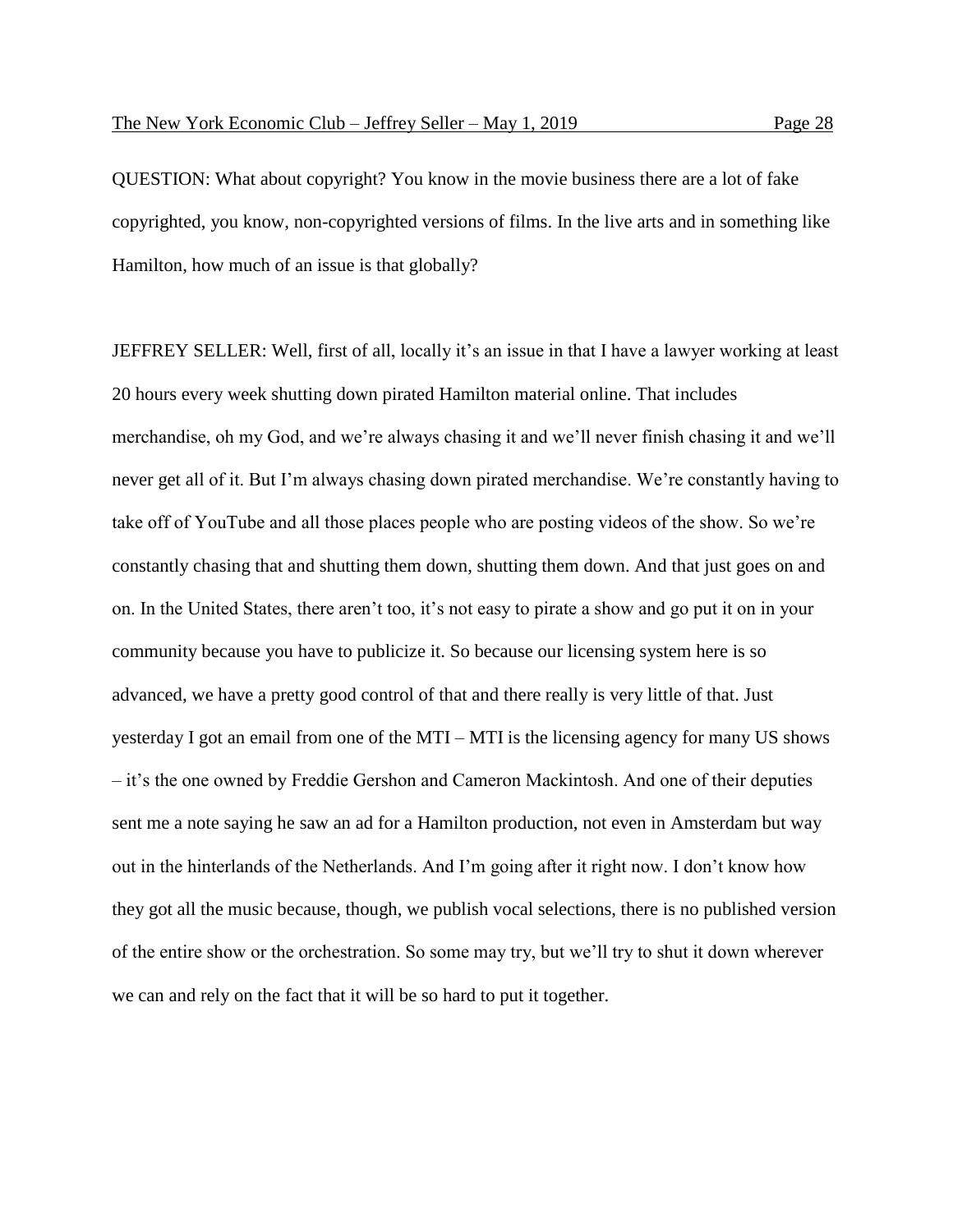QUESTION: What about copyright? You know in the movie business there are a lot of fake copyrighted, you know, non-copyrighted versions of films. In the live arts and in something like Hamilton, how much of an issue is that globally?

JEFFREY SELLER: Well, first of all, locally it's an issue in that I have a lawyer working at least 20 hours every week shutting down pirated Hamilton material online. That includes merchandise, oh my God, and we're always chasing it and we'll never finish chasing it and we'll never get all of it. But I'm always chasing down pirated merchandise. We're constantly having to take off of YouTube and all those places people who are posting videos of the show. So we're constantly chasing that and shutting them down, shutting them down. And that just goes on and on. In the United States, there aren't too, it's not easy to pirate a show and go put it on in your community because you have to publicize it. So because our licensing system here is so advanced, we have a pretty good control of that and there really is very little of that. Just yesterday I got an email from one of the MTI – MTI is the licensing agency for many US shows – it's the one owned by Freddie Gershon and Cameron Mackintosh. And one of their deputies sent me a note saying he saw an ad for a Hamilton production, not even in Amsterdam but way out in the hinterlands of the Netherlands. And I'm going after it right now. I don't know how they got all the music because, though, we publish vocal selections, there is no published version of the entire show or the orchestration. So some may try, but we'll try to shut it down wherever we can and rely on the fact that it will be so hard to put it together.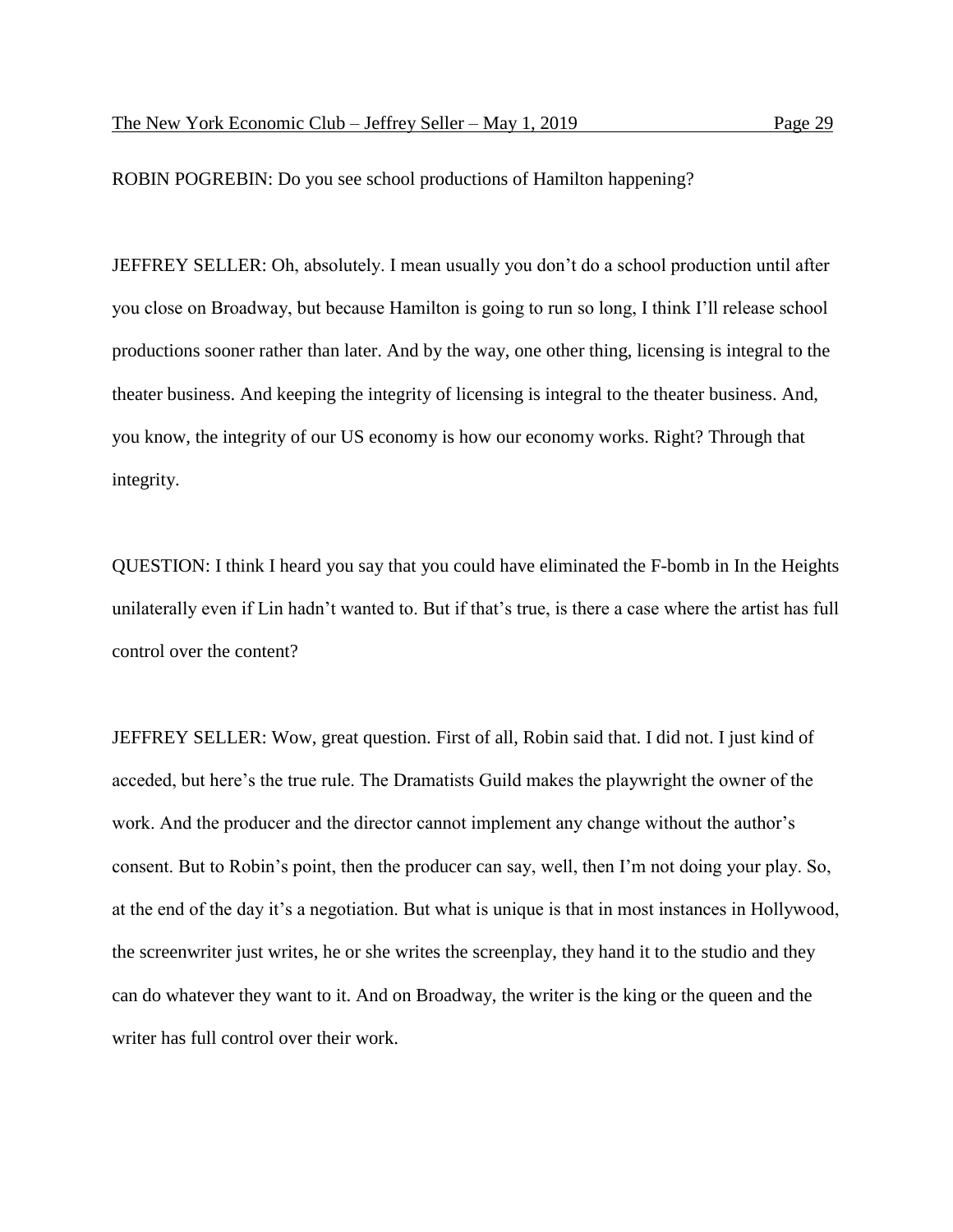ROBIN POGREBIN: Do you see school productions of Hamilton happening?

JEFFREY SELLER: Oh, absolutely. I mean usually you don't do a school production until after you close on Broadway, but because Hamilton is going to run so long, I think I'll release school productions sooner rather than later. And by the way, one other thing, licensing is integral to the theater business. And keeping the integrity of licensing is integral to the theater business. And, you know, the integrity of our US economy is how our economy works. Right? Through that integrity.

QUESTION: I think I heard you say that you could have eliminated the F-bomb in In the Heights unilaterally even if Lin hadn't wanted to. But if that's true, is there a case where the artist has full control over the content?

JEFFREY SELLER: Wow, great question. First of all, Robin said that. I did not. I just kind of acceded, but here's the true rule. The Dramatists Guild makes the playwright the owner of the work. And the producer and the director cannot implement any change without the author's consent. But to Robin's point, then the producer can say, well, then I'm not doing your play. So, at the end of the day it's a negotiation. But what is unique is that in most instances in Hollywood, the screenwriter just writes, he or she writes the screenplay, they hand it to the studio and they can do whatever they want to it. And on Broadway, the writer is the king or the queen and the writer has full control over their work.